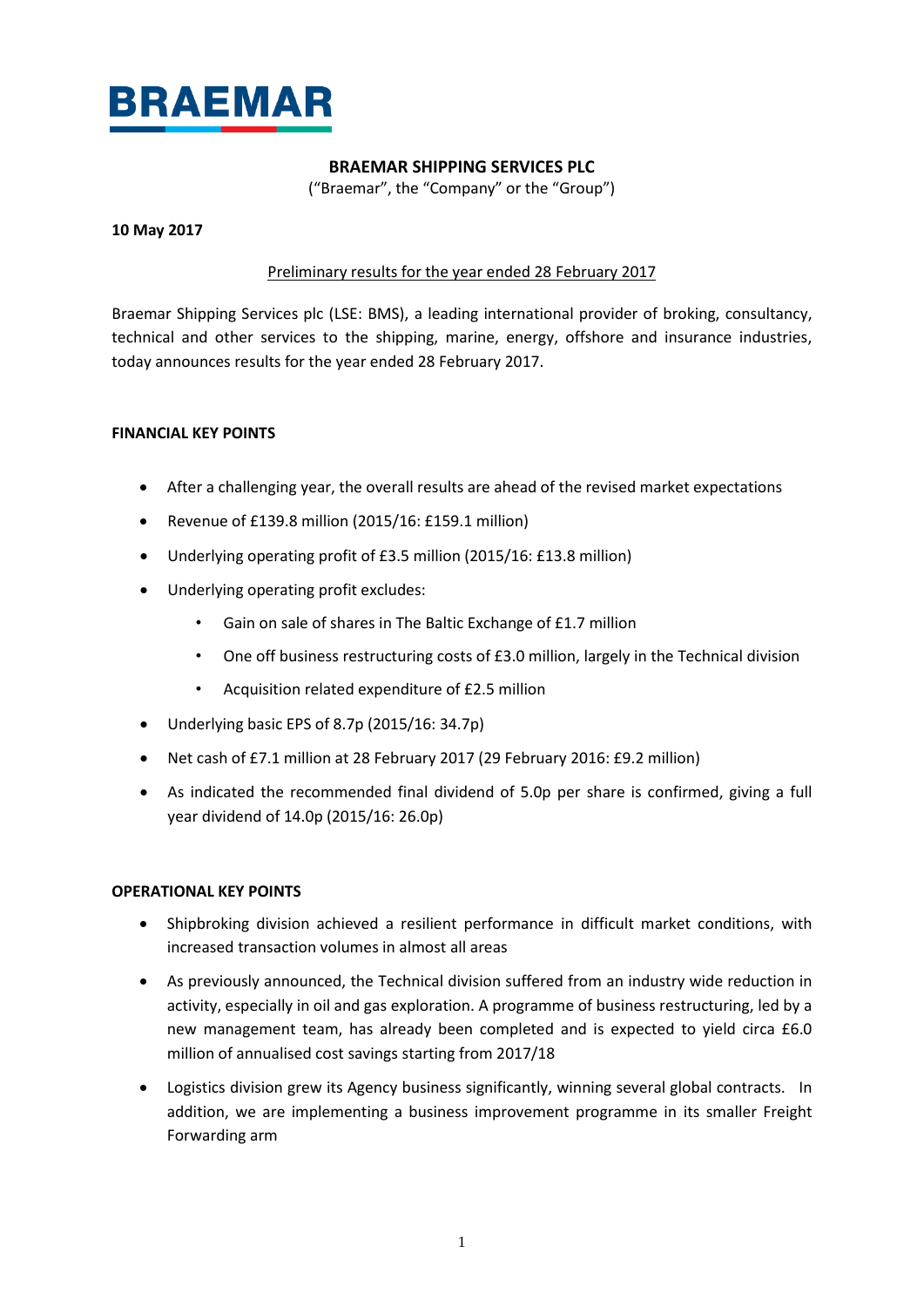

# **BRAEMAR SHIPPING SERVICES PLC**

("Braemar", the "Company" or the "Group")

#### **10 May 2017**

### Preliminary results for the year ended 28 February 2017

Braemar Shipping Services plc (LSE: BMS), a leading international provider of broking, consultancy, technical and other services to the shipping, marine, energy, offshore and insurance industries, today announces results for the year ended 28 February 2017.

### **FINANCIAL KEY POINTS**

- After a challenging year, the overall results are ahead of the revised market expectations
- Revenue of £139.8 million (2015/16: £159.1 million)
- Underlying operating profit of £3.5 million (2015/16: £13.8 million)
- Underlying operating profit excludes:
	- Gain on sale of shares in The Baltic Exchange of £1.7 million
	- One off business restructuring costs of £3.0 million, largely in the Technical division
	- Acquisition related expenditure of £2.5 million
- Underlying basic EPS of 8.7p (2015/16: 34.7p)
- Net cash of £7.1 million at 28 February 2017 (29 February 2016: £9.2 million)
- As indicated the recommended final dividend of 5.0p per share is confirmed, giving a full year dividend of 14.0p (2015/16: 26.0p)

### **OPERATIONAL KEY POINTS**

- Shipbroking division achieved a resilient performance in difficult market conditions, with increased transaction volumes in almost all areas
- As previously announced, the Technical division suffered from an industry wide reduction in activity, especially in oil and gas exploration. A programme of business restructuring, led by a new management team, has already been completed and is expected to yield circa £6.0 million of annualised cost savings starting from 2017/18
- Logistics division grew its Agency business significantly, winning several global contracts. In addition, we are implementing a business improvement programme in its smaller Freight Forwarding arm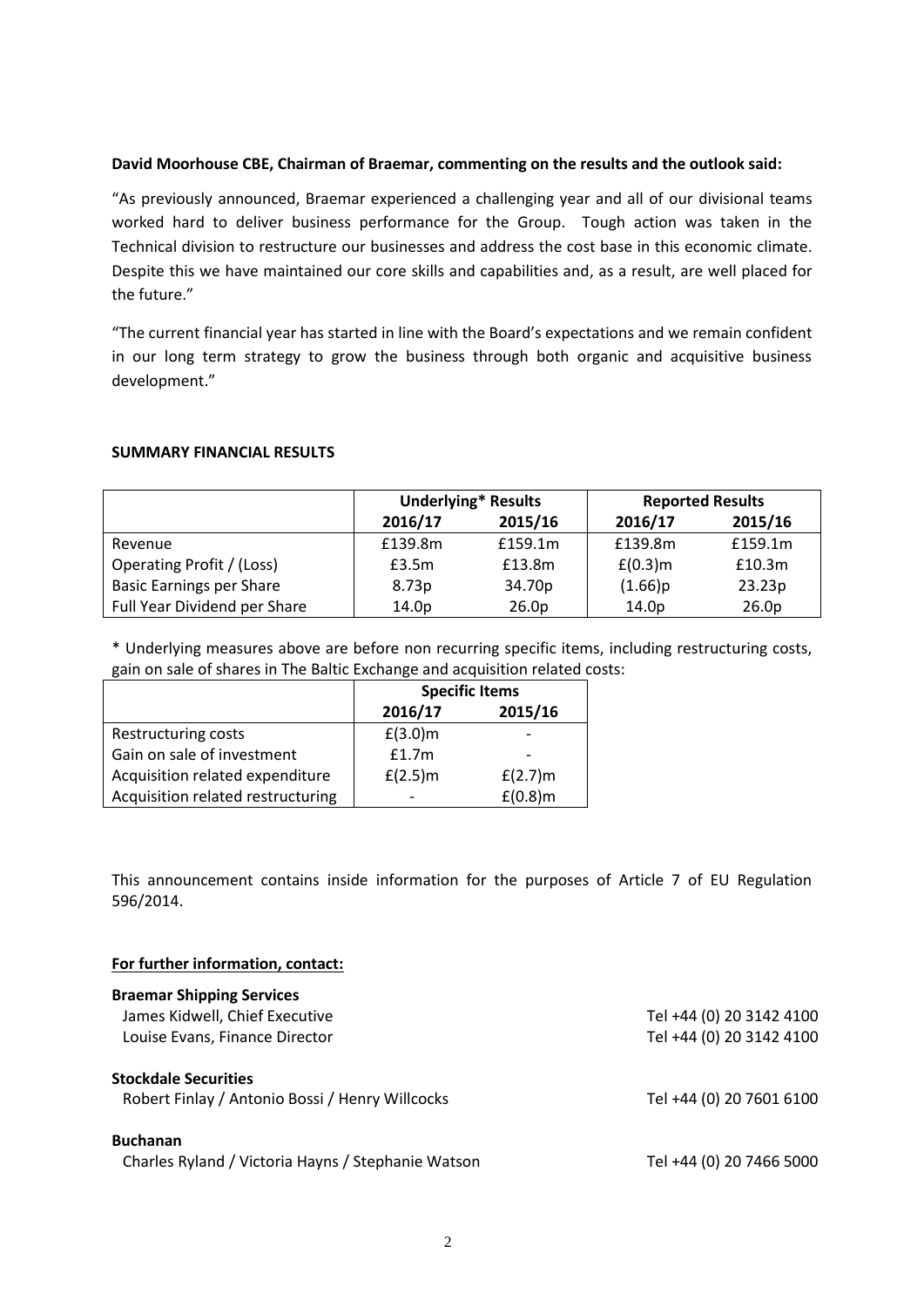#### **David Moorhouse CBE, Chairman of Braemar, commenting on the results and the outlook said:**

"As previously announced, Braemar experienced a challenging year and all of our divisional teams worked hard to deliver business performance for the Group. Tough action was taken in the Technical division to restructure our businesses and address the cost base in this economic climate. Despite this we have maintained our core skills and capabilities and, as a result, are well placed for the future."

"The current financial year has started in line with the Board's expectations and we remain confident in our long term strategy to grow the business through both organic and acquisitive business development."

#### **SUMMARY FINANCIAL RESULTS**

|                                 | <b>Underlying* Results</b> |                   | <b>Reported Results</b> |                   |
|---------------------------------|----------------------------|-------------------|-------------------------|-------------------|
|                                 | 2016/17                    | 2015/16           | 2016/17                 | 2015/16           |
| Revenue                         | £139.8m                    | £159.1m           | £139.8m                 | £159.1m           |
| Operating Profit / (Loss)       | £3.5m                      | £13.8m            | $E(0.3)$ m              | £10.3m            |
| <b>Basic Earnings per Share</b> | 8.73p                      | 34.70p            | (1.66)p                 | 23.23p            |
| Full Year Dividend per Share    | 14.0p                      | 26.0 <sub>p</sub> | 14.0p                   | 26.0 <sub>p</sub> |

\* Underlying measures above are before non recurring specific items, including restructuring costs, gain on sale of shares in The Baltic Exchange and acquisition related costs:

|                                   | <b>Specific Items</b> |            |  |
|-----------------------------------|-----------------------|------------|--|
|                                   | 2016/17               | 2015/16    |  |
| Restructuring costs               | $f(3.0)$ m            |            |  |
| Gain on sale of investment        | f1.7m                 |            |  |
| Acquisition related expenditure   | $f(2.5)$ m            | $f(2.7)$ m |  |
| Acquisition related restructuring |                       | $E(0.8)$ m |  |

This announcement contains inside information for the purposes of Article 7 of EU Regulation 596/2014.

#### **For further information, contact:**

| <b>Braemar Shipping Services</b>                   |                          |
|----------------------------------------------------|--------------------------|
| James Kidwell, Chief Executive                     | Tel +44 (0) 20 3142 4100 |
| Louise Evans, Finance Director                     | Tel +44 (0) 20 3142 4100 |
| <b>Stockdale Securities</b>                        |                          |
| Robert Finlay / Antonio Bossi / Henry Willcocks    | Tel +44 (0) 20 7601 6100 |
| <b>Buchanan</b>                                    |                          |
| Charles Ryland / Victoria Hayns / Stephanie Watson | Tel +44 (0) 20 7466 5000 |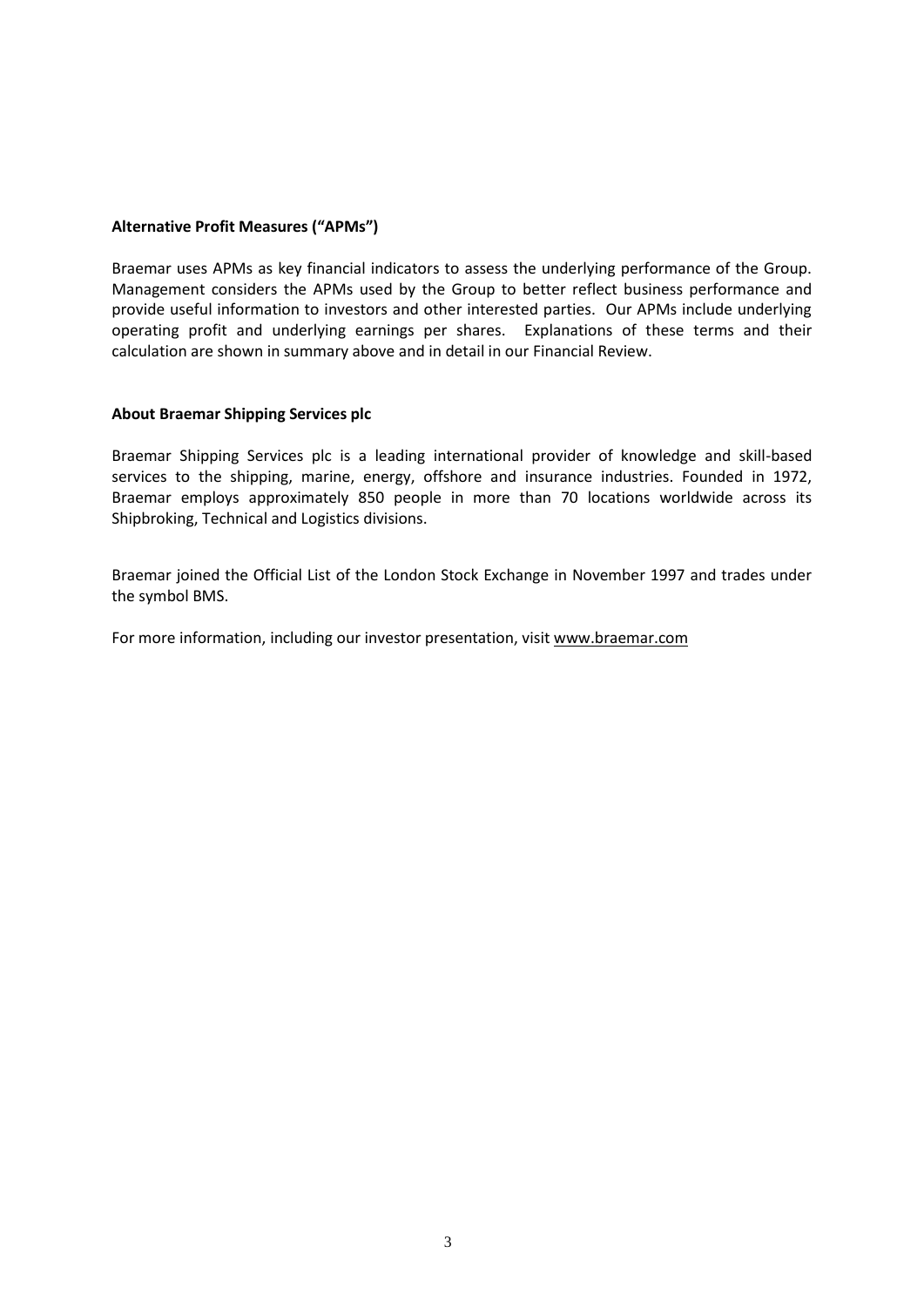#### **Alternative Profit Measures ("APMs")**

Braemar uses APMs as key financial indicators to assess the underlying performance of the Group. Management considers the APMs used by the Group to better reflect business performance and provide useful information to investors and other interested parties. Our APMs include underlying operating profit and underlying earnings per shares. Explanations of these terms and their calculation are shown in summary above and in detail in our Financial Review.

#### **About Braemar Shipping Services plc**

Braemar Shipping Services plc is a leading international provider of knowledge and skill-based services to the shipping, marine, energy, offshore and insurance industries. Founded in 1972, Braemar employs approximately 850 people in more than 70 locations worldwide across its Shipbroking, Technical and Logistics divisions.

Braemar joined the Official List of the London Stock Exchange in November 1997 and trades under the symbol BMS.

For more information, including our investor presentation, visit [www.braemar.com](http://www.braemar.com/)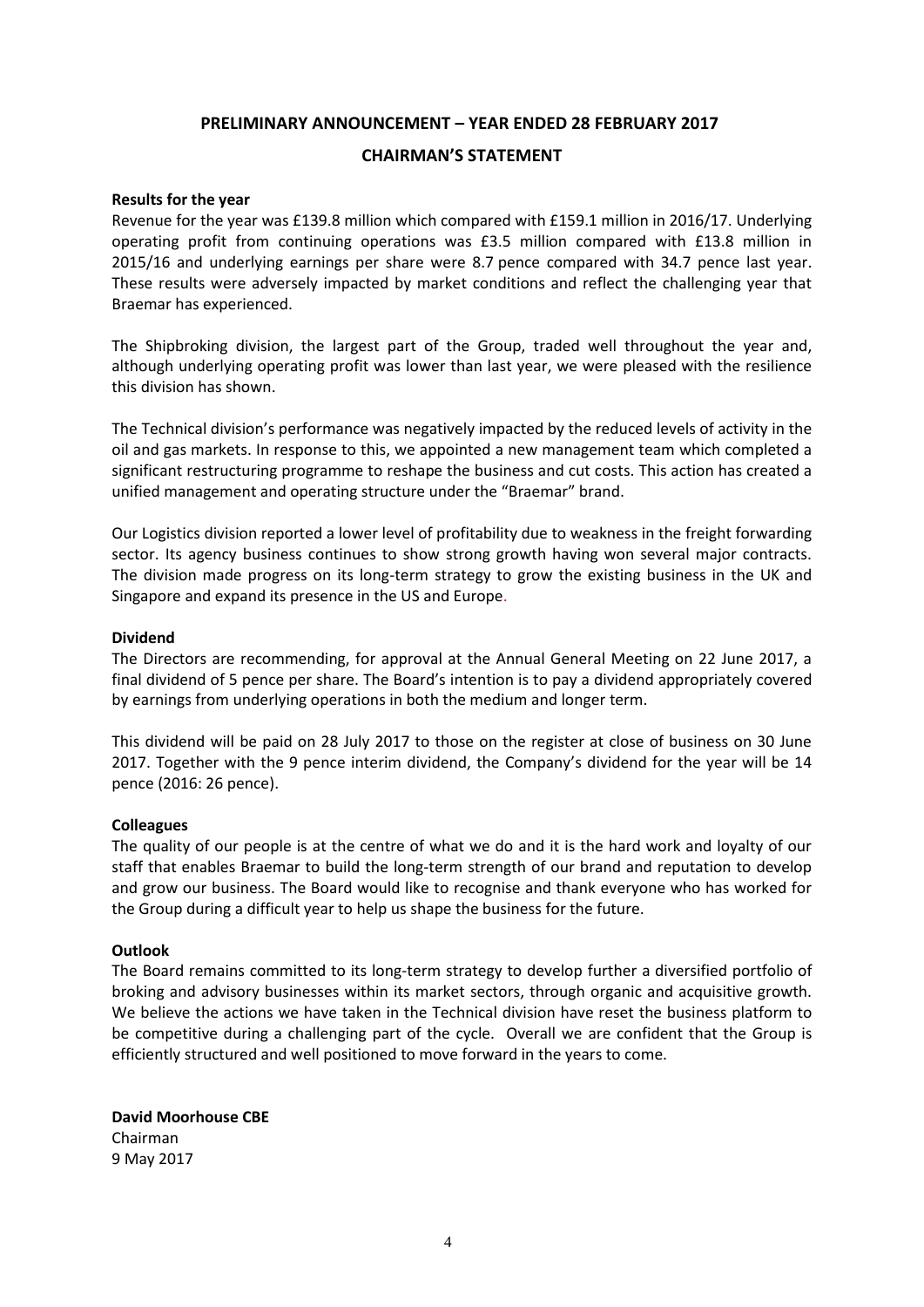# **PRELIMINARY ANNOUNCEMENT – YEAR ENDED 28 FEBRUARY 2017**

## **CHAIRMAN'S STATEMENT**

#### **Results for the year**

Revenue for the year was £139.8 million which compared with £159.1 million in 2016/17. Underlying operating profit from continuing operations was £3.5 million compared with £13.8 million in 2015/16 and underlying earnings per share were 8.7 pence compared with 34.7 pence last year. These results were adversely impacted by market conditions and reflect the challenging year that Braemar has experienced.

The Shipbroking division, the largest part of the Group, traded well throughout the year and, although underlying operating profit was lower than last year, we were pleased with the resilience this division has shown.

The Technical division's performance was negatively impacted by the reduced levels of activity in the oil and gas markets. In response to this, we appointed a new management team which completed a significant restructuring programme to reshape the business and cut costs. This action has created a unified management and operating structure under the "Braemar" brand.

Our Logistics division reported a lower level of profitability due to weakness in the freight forwarding sector. Its agency business continues to show strong growth having won several major contracts. The division made progress on its long-term strategy to grow the existing business in the UK and Singapore and expand its presence in the US and Europe.

#### **Dividend**

The Directors are recommending, for approval at the Annual General Meeting on 22 June 2017, a final dividend of 5 pence per share. The Board's intention is to pay a dividend appropriately covered by earnings from underlying operations in both the medium and longer term.

This dividend will be paid on 28 July 2017 to those on the register at close of business on 30 June 2017. Together with the 9 pence interim dividend, the Company's dividend for the year will be 14 pence (2016: 26 pence).

#### **Colleagues**

The quality of our people is at the centre of what we do and it is the hard work and loyalty of our staff that enables Braemar to build the long-term strength of our brand and reputation to develop and grow our business. The Board would like to recognise and thank everyone who has worked for the Group during a difficult year to help us shape the business for the future.

#### **Outlook**

The Board remains committed to its long-term strategy to develop further a diversified portfolio of broking and advisory businesses within its market sectors, through organic and acquisitive growth. We believe the actions we have taken in the Technical division have reset the business platform to be competitive during a challenging part of the cycle. Overall we are confident that the Group is efficiently structured and well positioned to move forward in the years to come.

**David Moorhouse CBE** Chairman 9 May 2017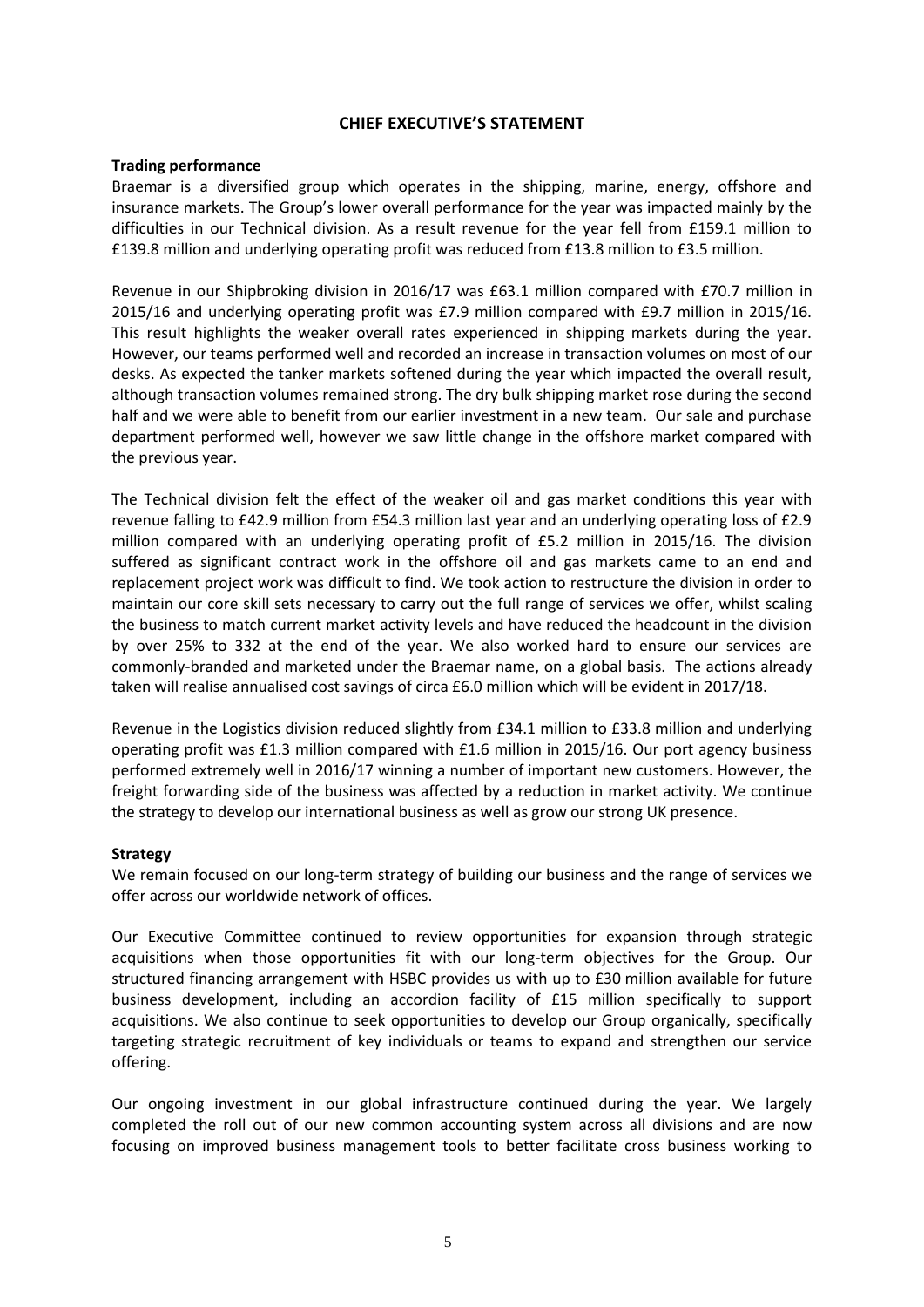# **CHIEF EXECUTIVE'S STATEMENT**

#### **Trading performance**

Braemar is a diversified group which operates in the shipping, marine, energy, offshore and insurance markets. The Group's lower overall performance for the year was impacted mainly by the difficulties in our Technical division. As a result revenue for the year fell from £159.1 million to £139.8 million and underlying operating profit was reduced from £13.8 million to £3.5 million.

Revenue in our Shipbroking division in 2016/17 was £63.1 million compared with £70.7 million in 2015/16 and underlying operating profit was £7.9 million compared with £9.7 million in 2015/16. This result highlights the weaker overall rates experienced in shipping markets during the year. However, our teams performed well and recorded an increase in transaction volumes on most of our desks. As expected the tanker markets softened during the year which impacted the overall result, although transaction volumes remained strong. The dry bulk shipping market rose during the second half and we were able to benefit from our earlier investment in a new team. Our sale and purchase department performed well, however we saw little change in the offshore market compared with the previous year.

The Technical division felt the effect of the weaker oil and gas market conditions this year with revenue falling to £42.9 million from £54.3 million last year and an underlying operating loss of £2.9 million compared with an underlying operating profit of £5.2 million in 2015/16. The division suffered as significant contract work in the offshore oil and gas markets came to an end and replacement project work was difficult to find. We took action to restructure the division in order to maintain our core skill sets necessary to carry out the full range of services we offer, whilst scaling the business to match current market activity levels and have reduced the headcount in the division by over 25% to 332 at the end of the year. We also worked hard to ensure our services are commonly-branded and marketed under the Braemar name, on a global basis. The actions already taken will realise annualised cost savings of circa £6.0 million which will be evident in 2017/18.

Revenue in the Logistics division reduced slightly from £34.1 million to £33.8 million and underlying operating profit was £1.3 million compared with £1.6 million in 2015/16. Our port agency business performed extremely well in 2016/17 winning a number of important new customers. However, the freight forwarding side of the business was affected by a reduction in market activity. We continue the strategy to develop our international business as well as grow our strong UK presence.

### **Strategy**

We remain focused on our long-term strategy of building our business and the range of services we offer across our worldwide network of offices.

Our Executive Committee continued to review opportunities for expansion through strategic acquisitions when those opportunities fit with our long-term objectives for the Group. Our structured financing arrangement with HSBC provides us with up to £30 million available for future business development, including an accordion facility of £15 million specifically to support acquisitions. We also continue to seek opportunities to develop our Group organically, specifically targeting strategic recruitment of key individuals or teams to expand and strengthen our service offering.

Our ongoing investment in our global infrastructure continued during the year. We largely completed the roll out of our new common accounting system across all divisions and are now focusing on improved business management tools to better facilitate cross business working to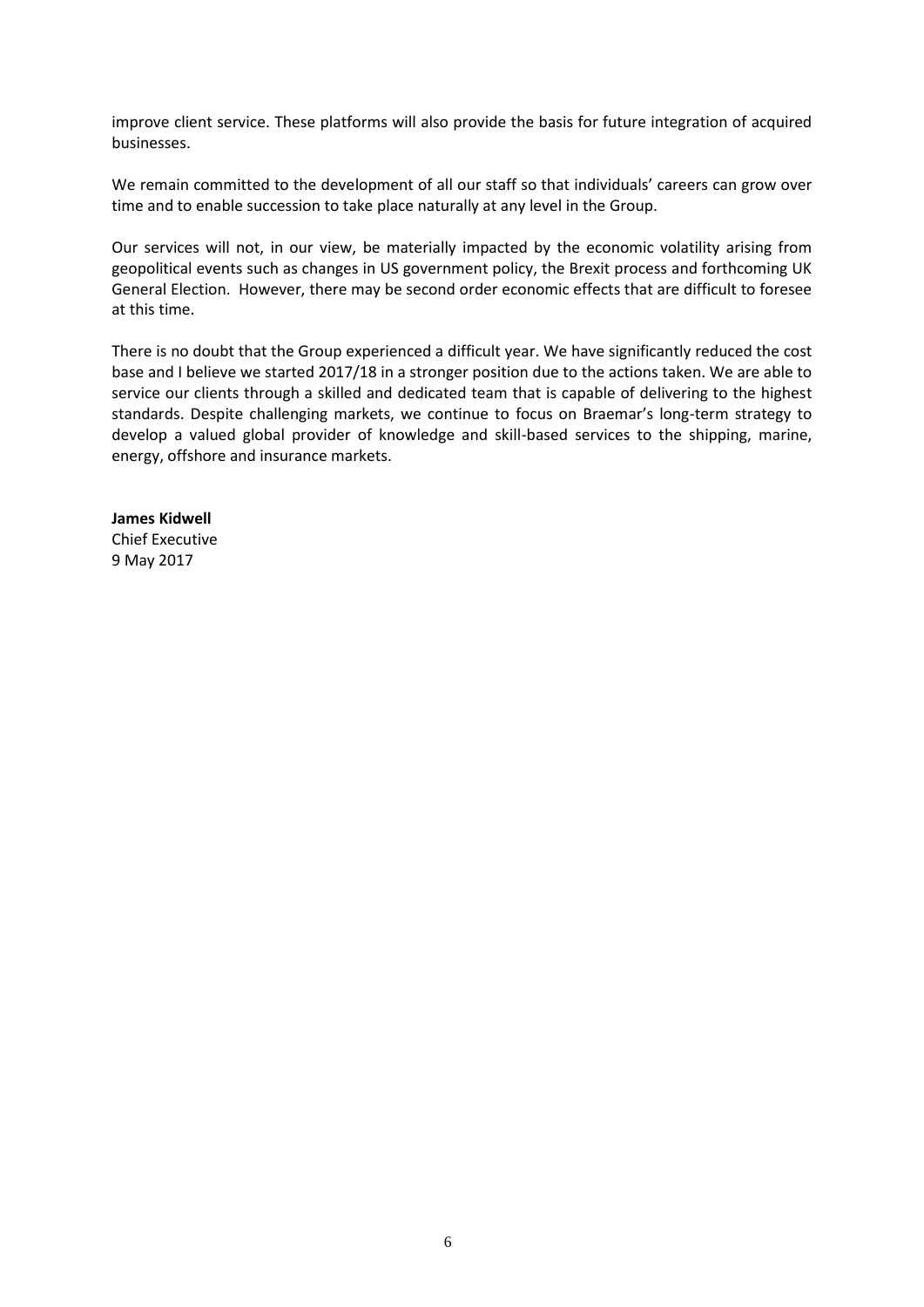improve client service. These platforms will also provide the basis for future integration of acquired businesses.

We remain committed to the development of all our staff so that individuals' careers can grow over time and to enable succession to take place naturally at any level in the Group.

Our services will not, in our view, be materially impacted by the economic volatility arising from geopolitical events such as changes in US government policy, the Brexit process and forthcoming UK General Election. However, there may be second order economic effects that are difficult to foresee at this time.

There is no doubt that the Group experienced a difficult year. We have significantly reduced the cost base and I believe we started 2017/18 in a stronger position due to the actions taken. We are able to service our clients through a skilled and dedicated team that is capable of delivering to the highest standards. Despite challenging markets, we continue to focus on Braemar's long-term strategy to develop a valued global provider of knowledge and skill-based services to the shipping, marine, energy, offshore and insurance markets.

**James Kidwell** Chief Executive 9 May 2017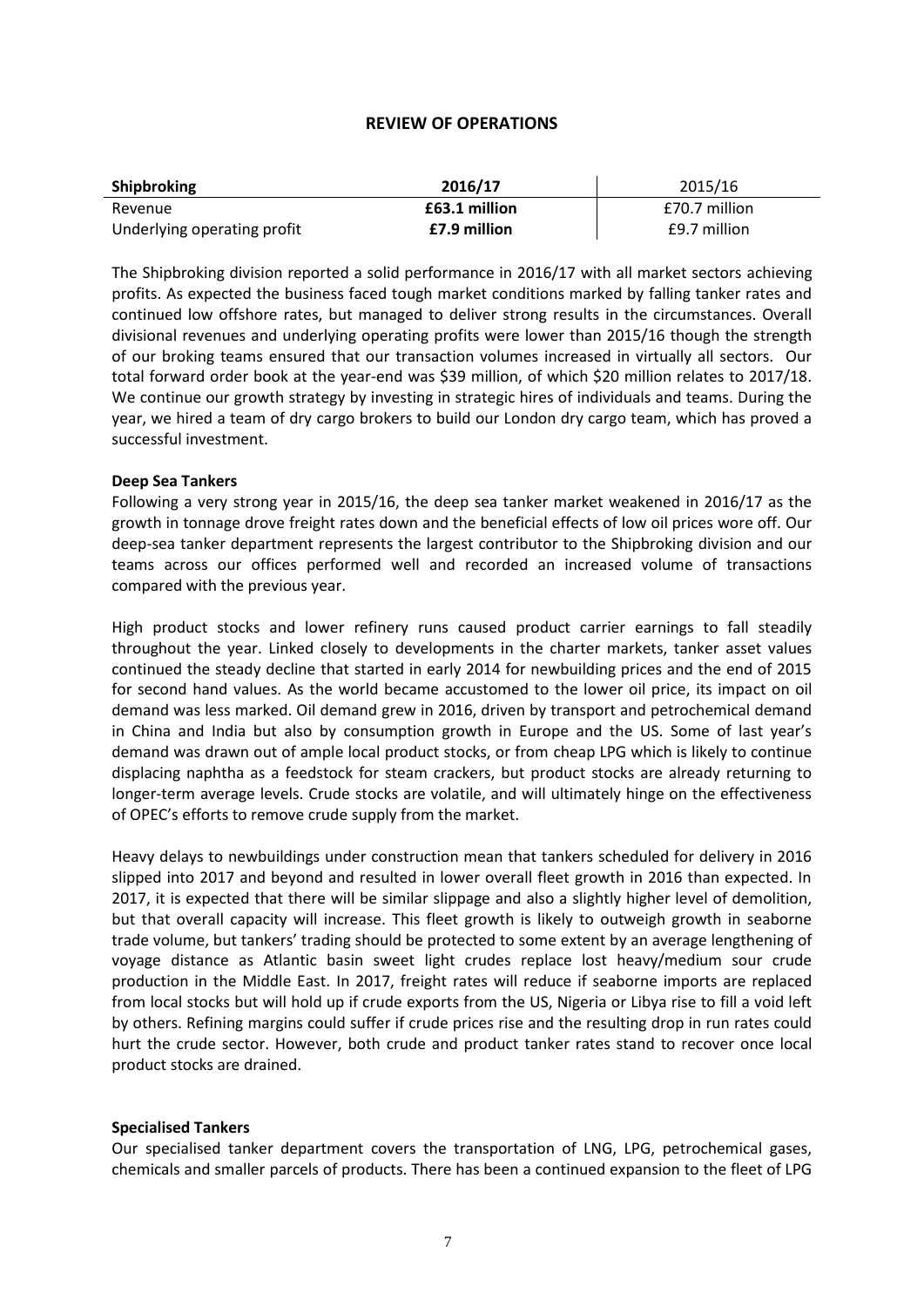# **REVIEW OF OPERATIONS**

| Shipbroking                 | 2016/17       | 2015/16       |
|-----------------------------|---------------|---------------|
| Revenue                     | £63.1 million | £70.7 million |
| Underlying operating profit | £7.9 million  | £9.7 million  |

The Shipbroking division reported a solid performance in 2016/17 with all market sectors achieving profits. As expected the business faced tough market conditions marked by falling tanker rates and continued low offshore rates, but managed to deliver strong results in the circumstances. Overall divisional revenues and underlying operating profits were lower than 2015/16 though the strength of our broking teams ensured that our transaction volumes increased in virtually all sectors. Our total forward order book at the year-end was \$39 million, of which \$20 million relates to 2017/18. We continue our growth strategy by investing in strategic hires of individuals and teams. During the year, we hired a team of dry cargo brokers to build our London dry cargo team, which has proved a successful investment.

#### **Deep Sea Tankers**

Following a very strong year in 2015/16, the deep sea tanker market weakened in 2016/17 as the growth in tonnage drove freight rates down and the beneficial effects of low oil prices wore off. Our deep-sea tanker department represents the largest contributor to the Shipbroking division and our teams across our offices performed well and recorded an increased volume of transactions compared with the previous year.

High product stocks and lower refinery runs caused product carrier earnings to fall steadily throughout the year. Linked closely to developments in the charter markets, tanker asset values continued the steady decline that started in early 2014 for newbuilding prices and the end of 2015 for second hand values. As the world became accustomed to the lower oil price, its impact on oil demand was less marked. Oil demand grew in 2016, driven by transport and petrochemical demand in China and India but also by consumption growth in Europe and the US. Some of last year's demand was drawn out of ample local product stocks, or from cheap LPG which is likely to continue displacing naphtha as a feedstock for steam crackers, but product stocks are already returning to longer-term average levels. Crude stocks are volatile, and will ultimately hinge on the effectiveness of OPEC's efforts to remove crude supply from the market.

Heavy delays to newbuildings under construction mean that tankers scheduled for delivery in 2016 slipped into 2017 and beyond and resulted in lower overall fleet growth in 2016 than expected. In 2017, it is expected that there will be similar slippage and also a slightly higher level of demolition, but that overall capacity will increase. This fleet growth is likely to outweigh growth in seaborne trade volume, but tankers' trading should be protected to some extent by an average lengthening of voyage distance as Atlantic basin sweet light crudes replace lost heavy/medium sour crude production in the Middle East. In 2017, freight rates will reduce if seaborne imports are replaced from local stocks but will hold up if crude exports from the US, Nigeria or Libya rise to fill a void left by others. Refining margins could suffer if crude prices rise and the resulting drop in run rates could hurt the crude sector. However, both crude and product tanker rates stand to recover once local product stocks are drained.

### **Specialised Tankers**

Our specialised tanker department covers the transportation of LNG, LPG, petrochemical gases, chemicals and smaller parcels of products. There has been a continued expansion to the fleet of LPG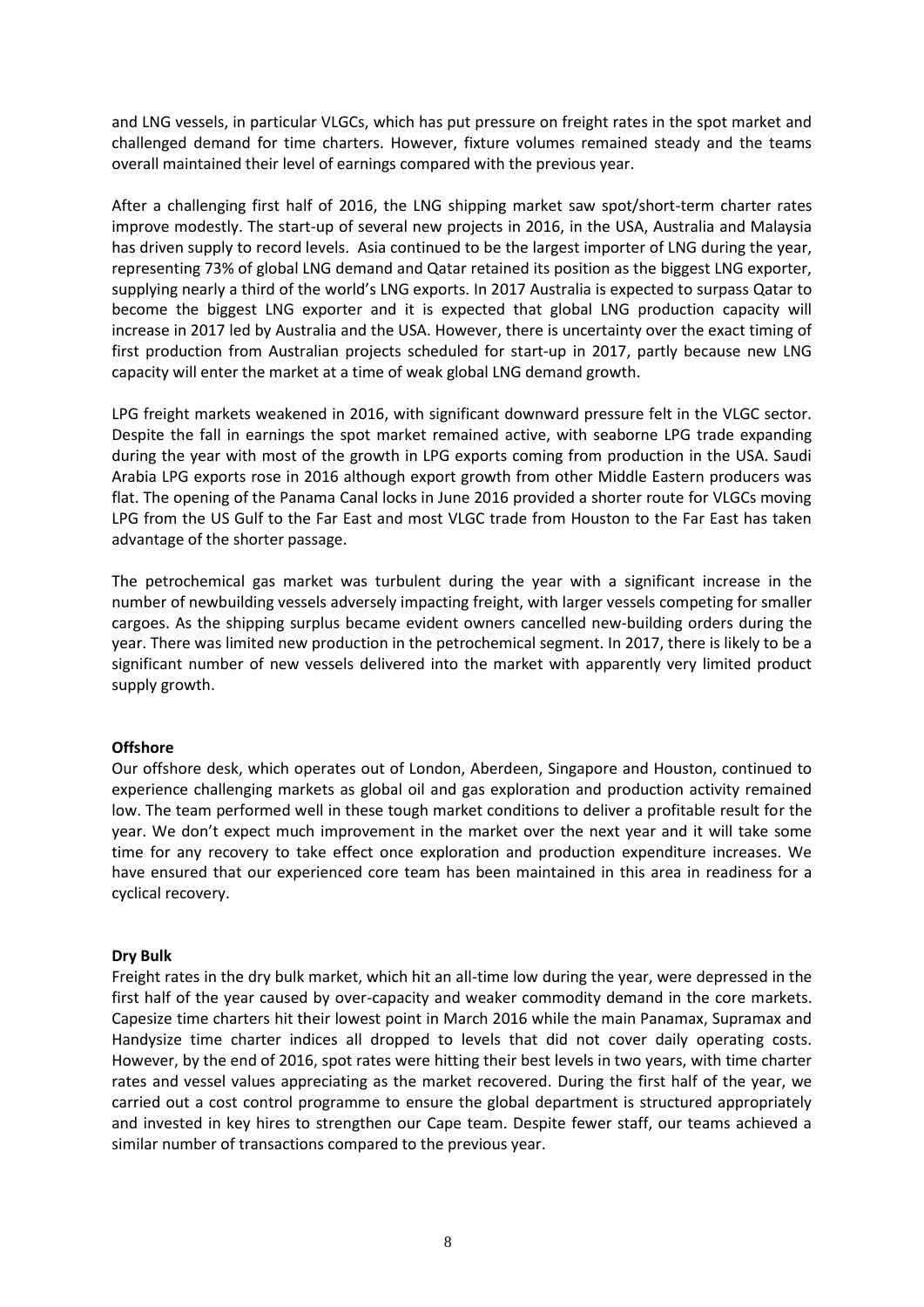and LNG vessels, in particular VLGCs, which has put pressure on freight rates in the spot market and challenged demand for time charters. However, fixture volumes remained steady and the teams overall maintained their level of earnings compared with the previous year.

After a challenging first half of 2016, the LNG shipping market saw spot/short-term charter rates improve modestly. The start-up of several new projects in 2016, in the USA, Australia and Malaysia has driven supply to record levels. Asia continued to be the largest importer of LNG during the year, representing 73% of global LNG demand and Qatar retained its position as the biggest LNG exporter, supplying nearly a third of the world's LNG exports. In 2017 Australia is expected to surpass Qatar to become the biggest LNG exporter and it is expected that global LNG production capacity will increase in 2017 led by Australia and the USA. However, there is uncertainty over the exact timing of first production from Australian projects scheduled for start-up in 2017, partly because new LNG capacity will enter the market at a time of weak global LNG demand growth.

LPG freight markets weakened in 2016, with significant downward pressure felt in the VLGC sector. Despite the fall in earnings the spot market remained active, with seaborne LPG trade expanding during the year with most of the growth in LPG exports coming from production in the USA. Saudi Arabia LPG exports rose in 2016 although export growth from other Middle Eastern producers was flat. The opening of the Panama Canal locks in June 2016 provided a shorter route for VLGCs moving LPG from the US Gulf to the Far East and most VLGC trade from Houston to the Far East has taken advantage of the shorter passage.

The petrochemical gas market was turbulent during the year with a significant increase in the number of newbuilding vessels adversely impacting freight, with larger vessels competing for smaller cargoes. As the shipping surplus became evident owners cancelled new-building orders during the year. There was limited new production in the petrochemical segment. In 2017, there is likely to be a significant number of new vessels delivered into the market with apparently very limited product supply growth.

### **Offshore**

Our offshore desk, which operates out of London, Aberdeen, Singapore and Houston, continued to experience challenging markets as global oil and gas exploration and production activity remained low. The team performed well in these tough market conditions to deliver a profitable result for the year. We don't expect much improvement in the market over the next year and it will take some time for any recovery to take effect once exploration and production expenditure increases. We have ensured that our experienced core team has been maintained in this area in readiness for a cyclical recovery.

### **Dry Bulk**

Freight rates in the dry bulk market, which hit an all-time low during the year, were depressed in the first half of the year caused by over-capacity and weaker commodity demand in the core markets. Capesize time charters hit their lowest point in March 2016 while the main Panamax, Supramax and Handysize time charter indices all dropped to levels that did not cover daily operating costs. However, by the end of 2016, spot rates were hitting their best levels in two years, with time charter rates and vessel values appreciating as the market recovered. During the first half of the year, we carried out a cost control programme to ensure the global department is structured appropriately and invested in key hires to strengthen our Cape team. Despite fewer staff, our teams achieved a similar number of transactions compared to the previous year.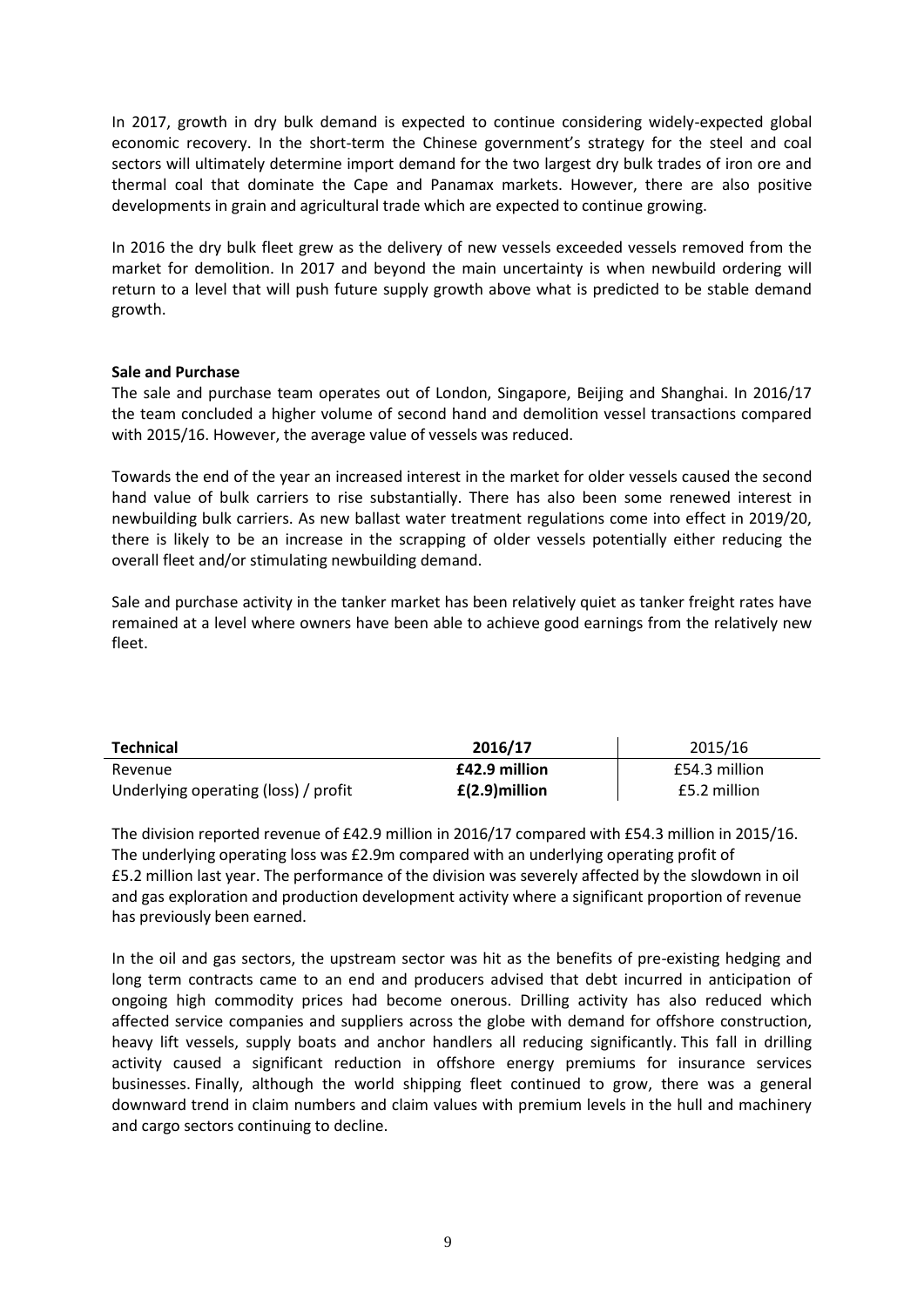In 2017, growth in dry bulk demand is expected to continue considering widely-expected global economic recovery. In the short-term the Chinese government's strategy for the steel and coal sectors will ultimately determine import demand for the two largest dry bulk trades of iron ore and thermal coal that dominate the Cape and Panamax markets. However, there are also positive developments in grain and agricultural trade which are expected to continue growing.

In 2016 the dry bulk fleet grew as the delivery of new vessels exceeded vessels removed from the market for demolition. In 2017 and beyond the main uncertainty is when newbuild ordering will return to a level that will push future supply growth above what is predicted to be stable demand growth.

### **Sale and Purchase**

The sale and purchase team operates out of London, Singapore, Beijing and Shanghai. In 2016/17 the team concluded a higher volume of second hand and demolition vessel transactions compared with 2015/16. However, the average value of vessels was reduced.

Towards the end of the year an increased interest in the market for older vessels caused the second hand value of bulk carriers to rise substantially. There has also been some renewed interest in newbuilding bulk carriers. As new ballast water treatment regulations come into effect in 2019/20, there is likely to be an increase in the scrapping of older vessels potentially either reducing the overall fleet and/or stimulating newbuilding demand.

Sale and purchase activity in the tanker market has been relatively quiet as tanker freight rates have remained at a level where owners have been able to achieve good earnings from the relatively new fleet.

| Technical                            | 2016/17          | 2015/16       |
|--------------------------------------|------------------|---------------|
| Revenue                              | £42.9 million    | £54.3 million |
| Underlying operating (loss) / profit | $E(2.9)$ million | £5.2 million  |

The division reported revenue of £42.9 million in 2016/17 compared with £54.3 million in 2015/16. The underlying operating loss was £2.9m compared with an underlying operating profit of £5.2 million last year. The performance of the division was severely affected by the slowdown in oil and gas exploration and production development activity where a significant proportion of revenue has previously been earned.

In the oil and gas sectors, the upstream sector was hit as the benefits of pre-existing hedging and long term contracts came to an end and producers advised that debt incurred in anticipation of ongoing high commodity prices had become onerous. Drilling activity has also reduced which affected service companies and suppliers across the globe with demand for offshore construction, heavy lift vessels, supply boats and anchor handlers all reducing significantly. This fall in drilling activity caused a significant reduction in offshore energy premiums for insurance services businesses. Finally, although the world shipping fleet continued to grow, there was a general downward trend in claim numbers and claim values with premium levels in the hull and machinery and cargo sectors continuing to decline.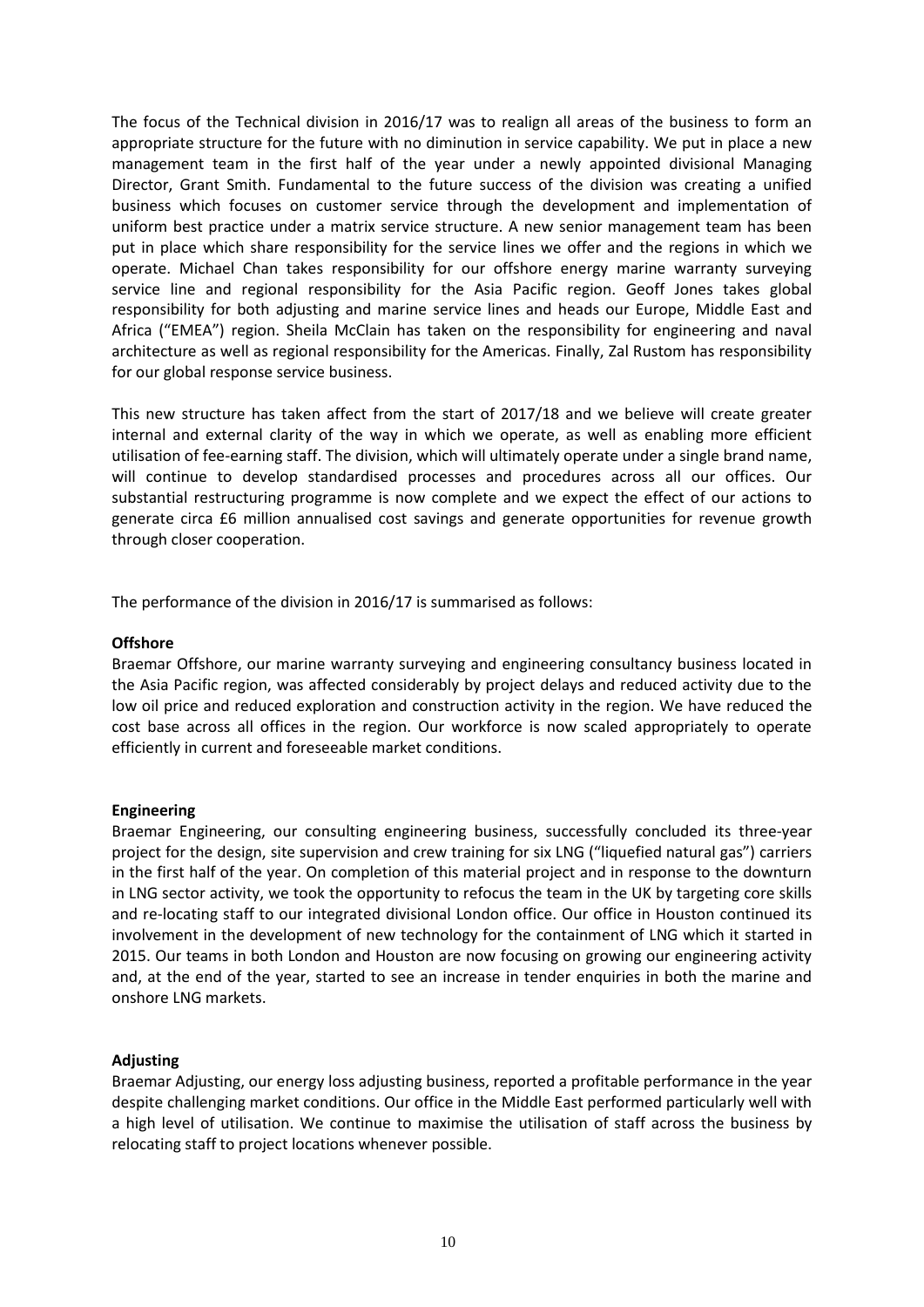The focus of the Technical division in 2016/17 was to realign all areas of the business to form an appropriate structure for the future with no diminution in service capability. We put in place a new management team in the first half of the year under a newly appointed divisional Managing Director, Grant Smith. Fundamental to the future success of the division was creating a unified business which focuses on customer service through the development and implementation of uniform best practice under a matrix service structure. A new senior management team has been put in place which share responsibility for the service lines we offer and the regions in which we operate. Michael Chan takes responsibility for our offshore energy marine warranty surveying service line and regional responsibility for the Asia Pacific region. Geoff Jones takes global responsibility for both adjusting and marine service lines and heads our Europe, Middle East and Africa ("EMEA") region. Sheila McClain has taken on the responsibility for engineering and naval architecture as well as regional responsibility for the Americas. Finally, Zal Rustom has responsibility for our global response service business.

This new structure has taken affect from the start of 2017/18 and we believe will create greater internal and external clarity of the way in which we operate, as well as enabling more efficient utilisation of fee-earning staff. The division, which will ultimately operate under a single brand name, will continue to develop standardised processes and procedures across all our offices. Our substantial restructuring programme is now complete and we expect the effect of our actions to generate circa £6 million annualised cost savings and generate opportunities for revenue growth through closer cooperation.

The performance of the division in 2016/17 is summarised as follows:

### **Offshore**

Braemar Offshore, our marine warranty surveying and engineering consultancy business located in the Asia Pacific region, was affected considerably by project delays and reduced activity due to the low oil price and reduced exploration and construction activity in the region. We have reduced the cost base across all offices in the region. Our workforce is now scaled appropriately to operate efficiently in current and foreseeable market conditions.

### **Engineering**

Braemar Engineering, our consulting engineering business, successfully concluded its three-year project for the design, site supervision and crew training for six LNG ("liquefied natural gas") carriers in the first half of the year. On completion of this material project and in response to the downturn in LNG sector activity, we took the opportunity to refocus the team in the UK by targeting core skills and re-locating staff to our integrated divisional London office. Our office in Houston continued its involvement in the development of new technology for the containment of LNG which it started in 2015. Our teams in both London and Houston are now focusing on growing our engineering activity and, at the end of the year, started to see an increase in tender enquiries in both the marine and onshore LNG markets.

# **Adjusting**

Braemar Adjusting, our energy loss adjusting business, reported a profitable performance in the year despite challenging market conditions. Our office in the Middle East performed particularly well with a high level of utilisation. We continue to maximise the utilisation of staff across the business by relocating staff to project locations whenever possible.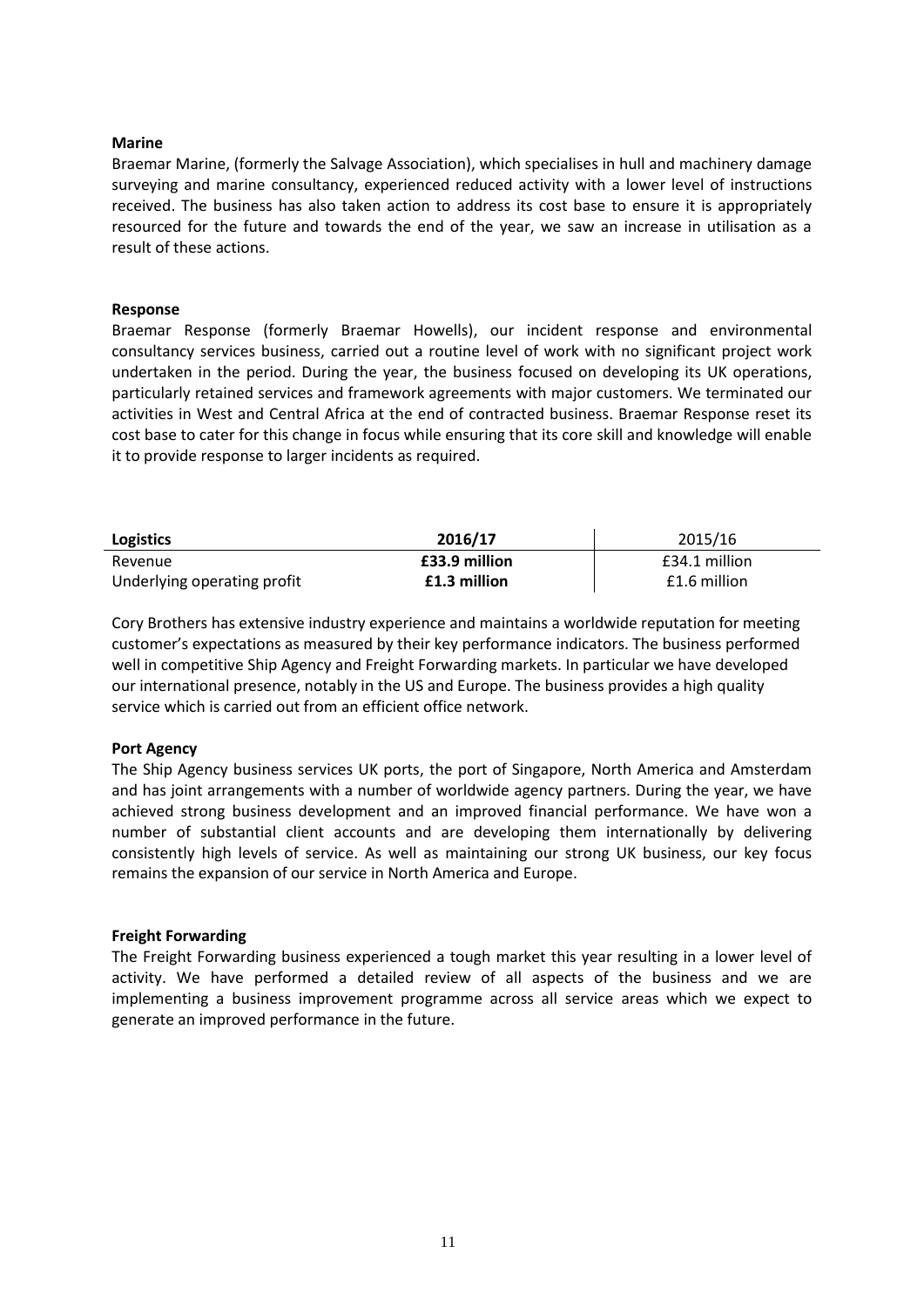#### **Marine**

Braemar Marine, (formerly the Salvage Association), which specialises in hull and machinery damage surveying and marine consultancy, experienced reduced activity with a lower level of instructions received. The business has also taken action to address its cost base to ensure it is appropriately resourced for the future and towards the end of the year, we saw an increase in utilisation as a result of these actions.

#### **Response**

Braemar Response (formerly Braemar Howells), our incident response and environmental consultancy services business, carried out a routine level of work with no significant project work undertaken in the period. During the year, the business focused on developing its UK operations, particularly retained services and framework agreements with major customers. We terminated our activities in West and Central Africa at the end of contracted business. Braemar Response reset its cost base to cater for this change in focus while ensuring that its core skill and knowledge will enable it to provide response to larger incidents as required.

| Logistics                   | 2016/17       | 2015/16       |
|-----------------------------|---------------|---------------|
| Revenue                     | £33.9 million | £34.1 million |
| Underlying operating profit | £1.3 million  | £1.6 million  |

Cory Brothers has extensive industry experience and maintains a worldwide reputation for meeting customer's expectations as measured by their key performance indicators. The business performed well in competitive Ship Agency and Freight Forwarding markets. In particular we have developed our international presence, notably in the US and Europe. The business provides a high quality service which is carried out from an efficient office network.

#### **Port Agency**

The Ship Agency business services UK ports, the port of Singapore, North America and Amsterdam and has joint arrangements with a number of worldwide agency partners. During the year, we have achieved strong business development and an improved financial performance. We have won a number of substantial client accounts and are developing them internationally by delivering consistently high levels of service. As well as maintaining our strong UK business, our key focus remains the expansion of our service in North America and Europe.

#### **Freight Forwarding**

The Freight Forwarding business experienced a tough market this year resulting in a lower level of activity. We have performed a detailed review of all aspects of the business and we are implementing a business improvement programme across all service areas which we expect to generate an improved performance in the future.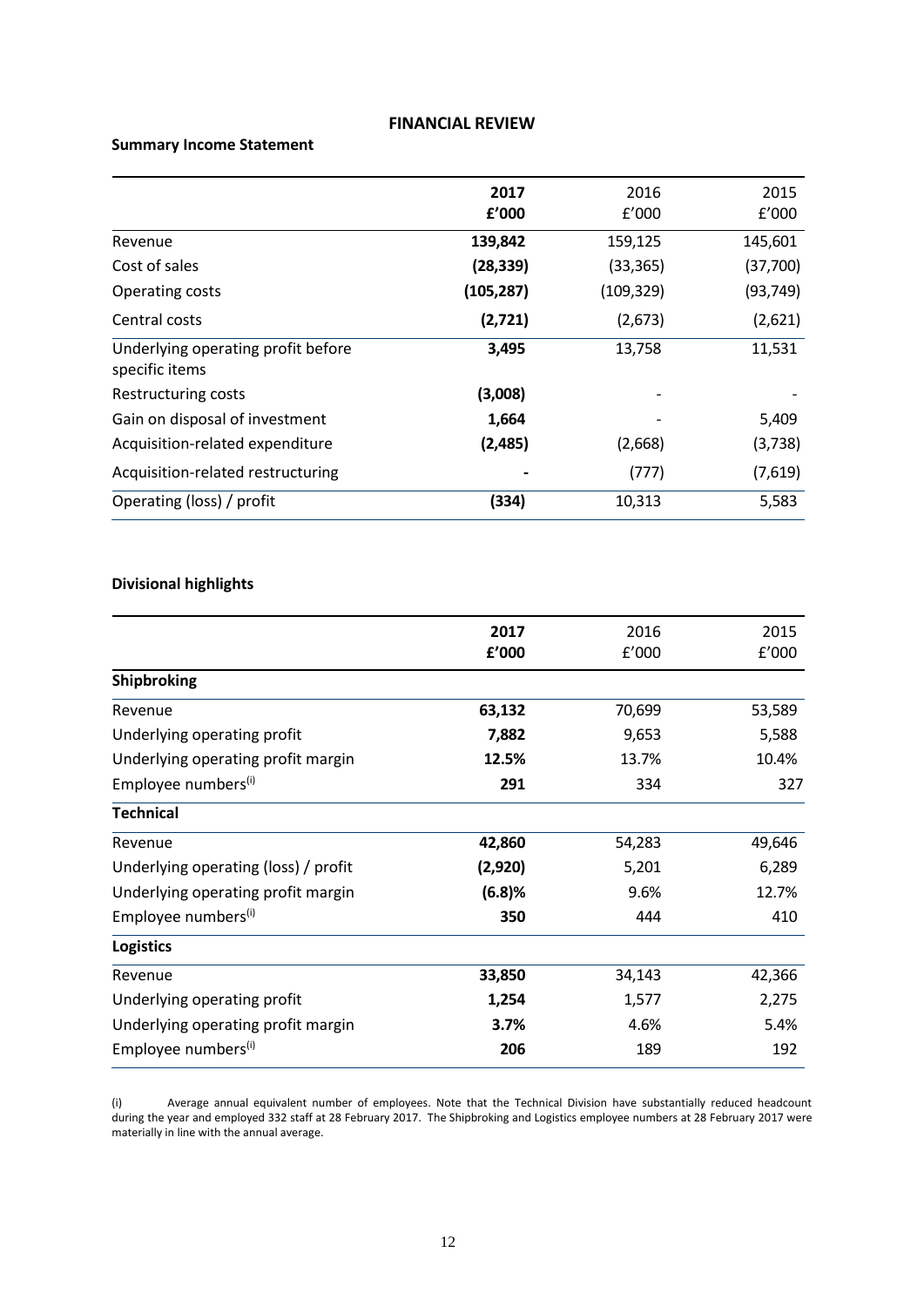#### **FINANCIAL REVIEW**

# **Summary Income Statement**

|                                                      | 2017<br>f'000 | 2016<br>f'000 | 2015<br>f'000 |
|------------------------------------------------------|---------------|---------------|---------------|
| Revenue                                              | 139,842       | 159,125       | 145,601       |
| Cost of sales                                        | (28, 339)     | (33, 365)     | (37,700)      |
| Operating costs                                      | (105, 287)    | (109, 329)    | (93, 749)     |
| Central costs                                        | (2,721)       | (2,673)       | (2,621)       |
| Underlying operating profit before<br>specific items | 3,495         | 13,758        | 11,531        |
| Restructuring costs                                  | (3,008)       |               |               |
| Gain on disposal of investment                       | 1,664         |               | 5,409         |
| Acquisition-related expenditure                      | (2,485)       | (2,668)       | (3,738)       |
| Acquisition-related restructuring                    |               | (777)         | (7,619)       |
| Operating (loss) / profit                            | (334)         | 10,313        | 5,583         |

#### **Divisional highlights**

|                                      | 2017    | 2016   | 2015   |
|--------------------------------------|---------|--------|--------|
|                                      |         |        |        |
|                                      | £'000   | f'000  | f'000  |
| Shipbroking                          |         |        |        |
| Revenue                              | 63,132  | 70,699 | 53,589 |
| Underlying operating profit          | 7,882   | 9,653  | 5,588  |
| Underlying operating profit margin   | 12.5%   | 13.7%  | 10.4%  |
| Employee numbers <sup>(i)</sup>      | 291     | 334    | 327    |
| <b>Technical</b>                     |         |        |        |
| Revenue                              | 42,860  | 54,283 | 49,646 |
| Underlying operating (loss) / profit | (2,920) | 5,201  | 6,289  |
| Underlying operating profit margin   | (6.8)%  | 9.6%   | 12.7%  |
| Employee numbers <sup>(i)</sup>      | 350     | 444    | 410    |
| <b>Logistics</b>                     |         |        |        |
| Revenue                              | 33,850  | 34,143 | 42,366 |
| Underlying operating profit          | 1,254   | 1,577  | 2,275  |
| Underlying operating profit margin   | 3.7%    | 4.6%   | 5.4%   |
| Employee numbers <sup>(i)</sup>      | 206     | 189    | 192    |

(i) Average annual equivalent number of employees. Note that the Technical Division have substantially reduced headcount during the year and employed 332 staff at 28 February 2017. The Shipbroking and Logistics employee numbers at 28 February 2017 were materially in line with the annual average.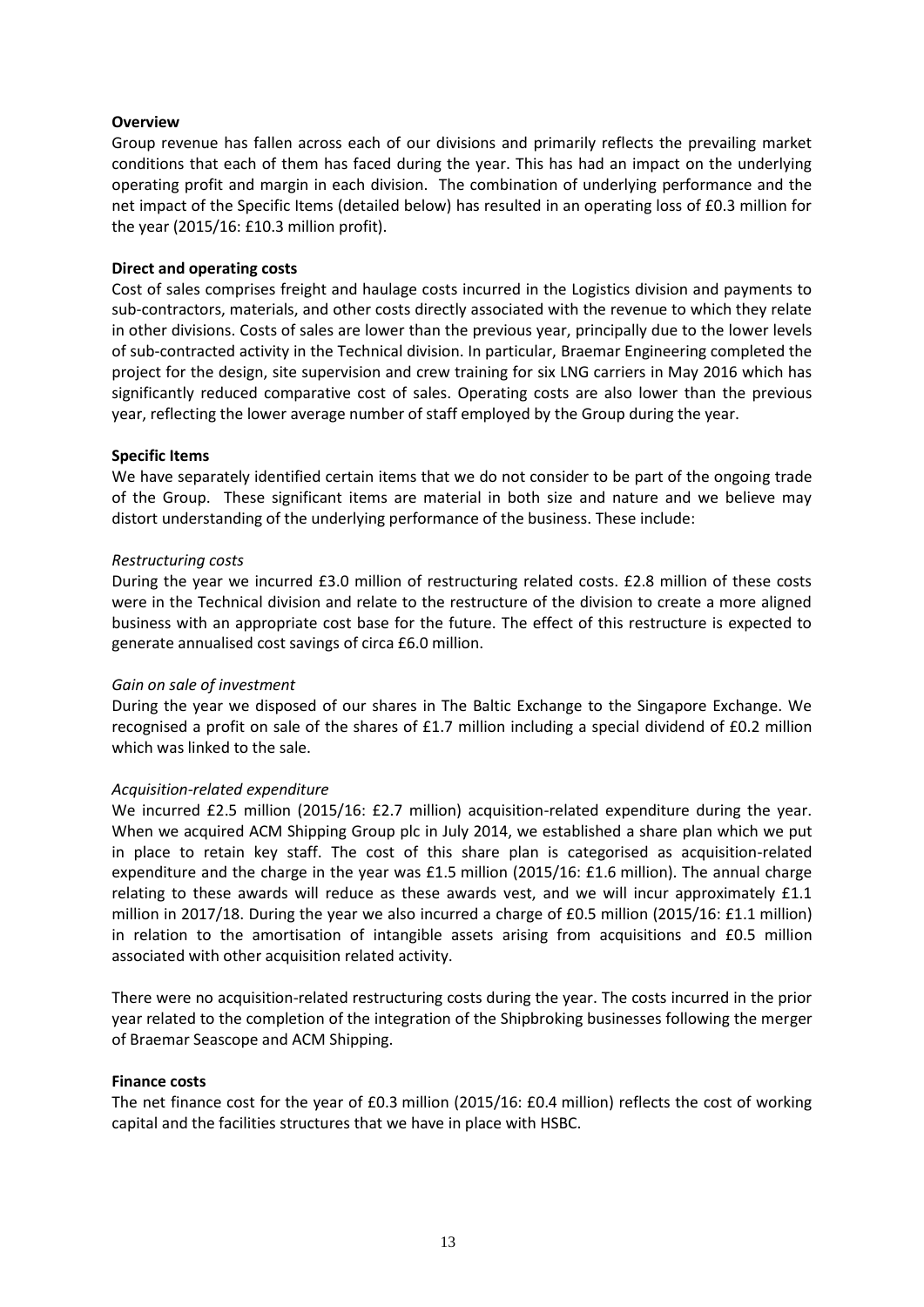## **Overview**

Group revenue has fallen across each of our divisions and primarily reflects the prevailing market conditions that each of them has faced during the year. This has had an impact on the underlying operating profit and margin in each division. The combination of underlying performance and the net impact of the Specific Items (detailed below) has resulted in an operating loss of £0.3 million for the year (2015/16: £10.3 million profit).

## **Direct and operating costs**

Cost of sales comprises freight and haulage costs incurred in the Logistics division and payments to sub-contractors, materials, and other costs directly associated with the revenue to which they relate in other divisions. Costs of sales are lower than the previous year, principally due to the lower levels of sub-contracted activity in the Technical division. In particular, Braemar Engineering completed the project for the design, site supervision and crew training for six LNG carriers in May 2016 which has significantly reduced comparative cost of sales. Operating costs are also lower than the previous year, reflecting the lower average number of staff employed by the Group during the year.

### **Specific Items**

We have separately identified certain items that we do not consider to be part of the ongoing trade of the Group. These significant items are material in both size and nature and we believe may distort understanding of the underlying performance of the business. These include:

#### *Restructuring costs*

During the year we incurred £3.0 million of restructuring related costs. £2.8 million of these costs were in the Technical division and relate to the restructure of the division to create a more aligned business with an appropriate cost base for the future. The effect of this restructure is expected to generate annualised cost savings of circa £6.0 million.

### *Gain on sale of investment*

During the year we disposed of our shares in The Baltic Exchange to the Singapore Exchange. We recognised a profit on sale of the shares of £1.7 million including a special dividend of £0.2 million which was linked to the sale.

### *Acquisition-related expenditure*

We incurred £2.5 million (2015/16: £2.7 million) acquisition-related expenditure during the year. When we acquired ACM Shipping Group plc in July 2014, we established a share plan which we put in place to retain key staff. The cost of this share plan is categorised as acquisition-related expenditure and the charge in the year was £1.5 million (2015/16: £1.6 million). The annual charge relating to these awards will reduce as these awards vest, and we will incur approximately £1.1 million in 2017/18. During the year we also incurred a charge of £0.5 million (2015/16: £1.1 million) in relation to the amortisation of intangible assets arising from acquisitions and £0.5 million associated with other acquisition related activity.

There were no acquisition-related restructuring costs during the year. The costs incurred in the prior year related to the completion of the integration of the Shipbroking businesses following the merger of Braemar Seascope and ACM Shipping.

### **Finance costs**

The net finance cost for the year of £0.3 million (2015/16: £0.4 million) reflects the cost of working capital and the facilities structures that we have in place with HSBC.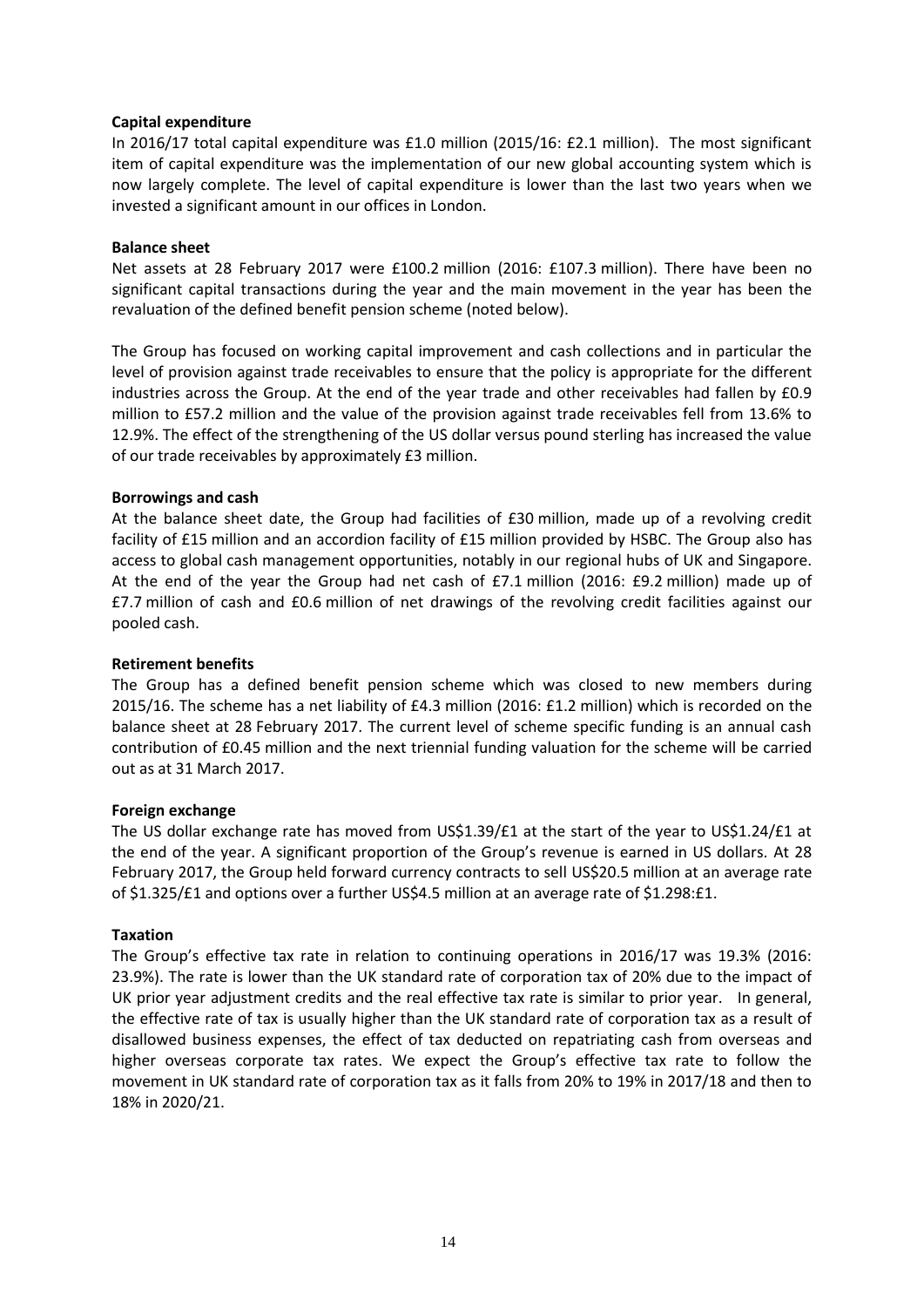## **Capital expenditure**

In 2016/17 total capital expenditure was £1.0 million (2015/16: £2.1 million). The most significant item of capital expenditure was the implementation of our new global accounting system which is now largely complete. The level of capital expenditure is lower than the last two years when we invested a significant amount in our offices in London.

### **Balance sheet**

Net assets at 28 February 2017 were £100.2 million (2016: £107.3 million). There have been no significant capital transactions during the year and the main movement in the year has been the revaluation of the defined benefit pension scheme (noted below).

The Group has focused on working capital improvement and cash collections and in particular the level of provision against trade receivables to ensure that the policy is appropriate for the different industries across the Group. At the end of the year trade and other receivables had fallen by £0.9 million to £57.2 million and the value of the provision against trade receivables fell from 13.6% to 12.9%. The effect of the strengthening of the US dollar versus pound sterling has increased the value of our trade receivables by approximately £3 million.

# **Borrowings and cash**

At the balance sheet date, the Group had facilities of £30 million, made up of a revolving credit facility of £15 million and an accordion facility of £15 million provided by HSBC. The Group also has access to global cash management opportunities, notably in our regional hubs of UK and Singapore. At the end of the year the Group had net cash of £7.1 million (2016: £9.2 million) made up of £7.7 million of cash and £0.6 million of net drawings of the revolving credit facilities against our pooled cash.

## **Retirement benefits**

The Group has a defined benefit pension scheme which was closed to new members during 2015/16. The scheme has a net liability of £4.3 million (2016: £1.2 million) which is recorded on the balance sheet at 28 February 2017. The current level of scheme specific funding is an annual cash contribution of £0.45 million and the next triennial funding valuation for the scheme will be carried out as at 31 March 2017.

### **Foreign exchange**

The US dollar exchange rate has moved from US\$1.39/£1 at the start of the year to US\$1.24/£1 at the end of the year. A significant proportion of the Group's revenue is earned in US dollars. At 28 February 2017, the Group held forward currency contracts to sell US\$20.5 million at an average rate of \$1.325/£1 and options over a further US\$4.5 million at an average rate of \$1.298:£1.

### **Taxation**

The Group's effective tax rate in relation to continuing operations in 2016/17 was 19.3% (2016: 23.9%). The rate is lower than the UK standard rate of corporation tax of 20% due to the impact of UK prior year adjustment credits and the real effective tax rate is similar to prior year. In general, the effective rate of tax is usually higher than the UK standard rate of corporation tax as a result of disallowed business expenses, the effect of tax deducted on repatriating cash from overseas and higher overseas corporate tax rates. We expect the Group's effective tax rate to follow the movement in UK standard rate of corporation tax as it falls from 20% to 19% in 2017/18 and then to 18% in 2020/21.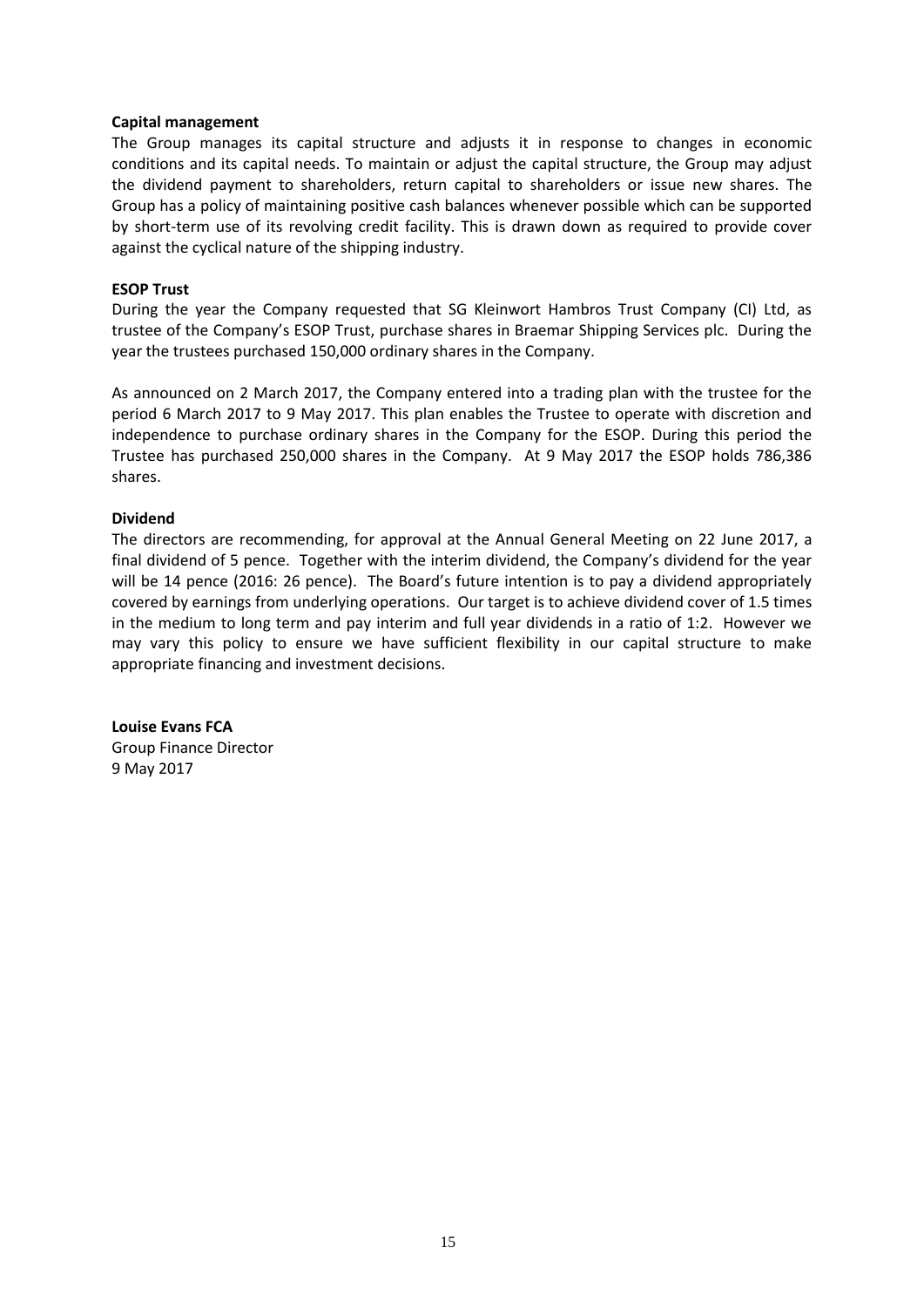#### **Capital management**

The Group manages its capital structure and adjusts it in response to changes in economic conditions and its capital needs. To maintain or adjust the capital structure, the Group may adjust the dividend payment to shareholders, return capital to shareholders or issue new shares. The Group has a policy of maintaining positive cash balances whenever possible which can be supported by short-term use of its revolving credit facility. This is drawn down as required to provide cover against the cyclical nature of the shipping industry.

### **ESOP Trust**

During the year the Company requested that SG Kleinwort Hambros Trust Company (CI) Ltd, as trustee of the Company's ESOP Trust, purchase shares in Braemar Shipping Services plc. During the year the trustees purchased 150,000 ordinary shares in the Company.

As announced on 2 March 2017, the Company entered into a trading plan with the trustee for the period 6 March 2017 to 9 May 2017. This plan enables the Trustee to operate with discretion and independence to purchase ordinary shares in the Company for the ESOP. During this period the Trustee has purchased 250,000 shares in the Company. At 9 May 2017 the ESOP holds 786,386 shares.

#### **Dividend**

The directors are recommending, for approval at the Annual General Meeting on 22 June 2017, a final dividend of 5 pence. Together with the interim dividend, the Company's dividend for the year will be 14 pence (2016: 26 pence). The Board's future intention is to pay a dividend appropriately covered by earnings from underlying operations. Our target is to achieve dividend cover of 1.5 times in the medium to long term and pay interim and full year dividends in a ratio of 1:2. However we may vary this policy to ensure we have sufficient flexibility in our capital structure to make appropriate financing and investment decisions.

**Louise Evans FCA** Group Finance Director 9 May 2017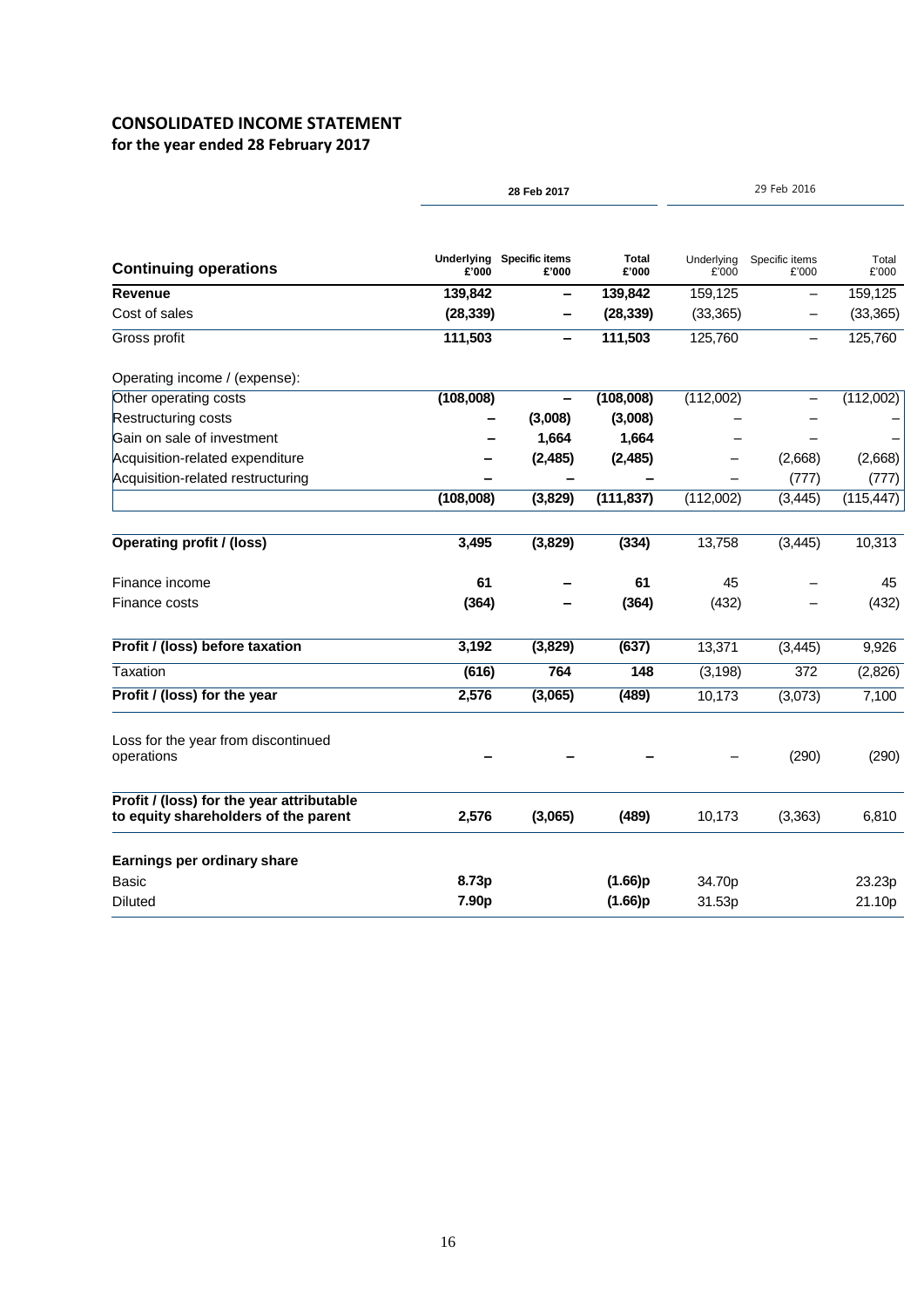# **CONSOLIDATED INCOME STATEMENT**

**for the year ended 28 February 2017**

| Underlying<br><b>Specific items</b><br><b>Total</b><br>Underlying<br>Specific items<br>Total<br><b>Continuing operations</b><br>£'000<br>£'000<br>£'000<br>£'000<br>£'000<br>£'000<br>Revenue<br>139,842<br>139,842<br>159,125<br>159,125<br>-<br>—<br>Cost of sales<br>(28, 339)<br>(28, 339)<br>(33, 365)<br>111,503<br>111,503<br>125,760<br>Gross profit<br>125,760<br>Operating income / (expense):<br>(108,008)<br>(108,008)<br>(112,002)<br>Other operating costs<br>$\qquad \qquad -$<br>Restructuring costs<br>(3,008)<br>(3,008)<br>1,664<br>1,664<br>Gain on sale of investment<br>Acquisition-related expenditure<br>(2, 485)<br>(2, 485)<br>(2,668)<br>Acquisition-related restructuring<br>(777)<br>(108,008)<br>(3,829)<br>(111, 837)<br>(112,002)<br>(3, 445)<br><b>Operating profit / (loss)</b><br>3,495<br>(3,829)<br>(334)<br>13,758<br>(3, 445)<br>10,313<br>61<br>Finance income<br>61<br>45<br>45<br>(364)<br>(364)<br>(432)<br>Finance costs<br>Profit / (loss) before taxation<br>3,192<br>(3,829)<br>(637)<br>13,371<br>9,926<br>(3, 445)<br><b>Taxation</b><br>(616)<br>764<br>148<br>(3, 198)<br>372<br>2,576<br>Profit / (loss) for the year<br>(3,065)<br>(489)<br>10,173<br>(3,073)<br>7,100<br>Loss for the year from discontinued<br>operations<br>(290)<br>Profit / (loss) for the year attributable<br>to equity shareholders of the parent<br>2,576<br>(3,065)<br>(489)<br>10,173<br>(3,363)<br>6,810<br>Earnings per ordinary share<br>8.73p<br>(1.66)p<br><b>Basic</b><br>34.70p<br>23.23p |         |       | 28 Feb 2017 |         |        | 29 Feb 2016 |            |  |
|----------------------------------------------------------------------------------------------------------------------------------------------------------------------------------------------------------------------------------------------------------------------------------------------------------------------------------------------------------------------------------------------------------------------------------------------------------------------------------------------------------------------------------------------------------------------------------------------------------------------------------------------------------------------------------------------------------------------------------------------------------------------------------------------------------------------------------------------------------------------------------------------------------------------------------------------------------------------------------------------------------------------------------------------------------------------------------------------------------------------------------------------------------------------------------------------------------------------------------------------------------------------------------------------------------------------------------------------------------------------------------------------------------------------------------------------------------------------------------------------------------------------------------|---------|-------|-------------|---------|--------|-------------|------------|--|
|                                                                                                                                                                                                                                                                                                                                                                                                                                                                                                                                                                                                                                                                                                                                                                                                                                                                                                                                                                                                                                                                                                                                                                                                                                                                                                                                                                                                                                                                                                                                  |         |       |             |         |        |             |            |  |
|                                                                                                                                                                                                                                                                                                                                                                                                                                                                                                                                                                                                                                                                                                                                                                                                                                                                                                                                                                                                                                                                                                                                                                                                                                                                                                                                                                                                                                                                                                                                  |         |       |             |         |        |             |            |  |
|                                                                                                                                                                                                                                                                                                                                                                                                                                                                                                                                                                                                                                                                                                                                                                                                                                                                                                                                                                                                                                                                                                                                                                                                                                                                                                                                                                                                                                                                                                                                  |         |       |             |         |        |             | (33, 365)  |  |
|                                                                                                                                                                                                                                                                                                                                                                                                                                                                                                                                                                                                                                                                                                                                                                                                                                                                                                                                                                                                                                                                                                                                                                                                                                                                                                                                                                                                                                                                                                                                  |         |       |             |         |        |             |            |  |
|                                                                                                                                                                                                                                                                                                                                                                                                                                                                                                                                                                                                                                                                                                                                                                                                                                                                                                                                                                                                                                                                                                                                                                                                                                                                                                                                                                                                                                                                                                                                  |         |       |             |         |        |             |            |  |
|                                                                                                                                                                                                                                                                                                                                                                                                                                                                                                                                                                                                                                                                                                                                                                                                                                                                                                                                                                                                                                                                                                                                                                                                                                                                                                                                                                                                                                                                                                                                  |         |       |             |         |        |             | (112,002)  |  |
|                                                                                                                                                                                                                                                                                                                                                                                                                                                                                                                                                                                                                                                                                                                                                                                                                                                                                                                                                                                                                                                                                                                                                                                                                                                                                                                                                                                                                                                                                                                                  |         |       |             |         |        |             |            |  |
|                                                                                                                                                                                                                                                                                                                                                                                                                                                                                                                                                                                                                                                                                                                                                                                                                                                                                                                                                                                                                                                                                                                                                                                                                                                                                                                                                                                                                                                                                                                                  |         |       |             |         |        |             |            |  |
|                                                                                                                                                                                                                                                                                                                                                                                                                                                                                                                                                                                                                                                                                                                                                                                                                                                                                                                                                                                                                                                                                                                                                                                                                                                                                                                                                                                                                                                                                                                                  |         |       |             |         |        |             | (2,668)    |  |
|                                                                                                                                                                                                                                                                                                                                                                                                                                                                                                                                                                                                                                                                                                                                                                                                                                                                                                                                                                                                                                                                                                                                                                                                                                                                                                                                                                                                                                                                                                                                  |         |       |             |         |        |             | (777)      |  |
|                                                                                                                                                                                                                                                                                                                                                                                                                                                                                                                                                                                                                                                                                                                                                                                                                                                                                                                                                                                                                                                                                                                                                                                                                                                                                                                                                                                                                                                                                                                                  |         |       |             |         |        |             | (115, 447) |  |
|                                                                                                                                                                                                                                                                                                                                                                                                                                                                                                                                                                                                                                                                                                                                                                                                                                                                                                                                                                                                                                                                                                                                                                                                                                                                                                                                                                                                                                                                                                                                  |         |       |             |         |        |             |            |  |
|                                                                                                                                                                                                                                                                                                                                                                                                                                                                                                                                                                                                                                                                                                                                                                                                                                                                                                                                                                                                                                                                                                                                                                                                                                                                                                                                                                                                                                                                                                                                  |         |       |             |         |        |             |            |  |
|                                                                                                                                                                                                                                                                                                                                                                                                                                                                                                                                                                                                                                                                                                                                                                                                                                                                                                                                                                                                                                                                                                                                                                                                                                                                                                                                                                                                                                                                                                                                  |         |       |             |         |        |             | (432)      |  |
|                                                                                                                                                                                                                                                                                                                                                                                                                                                                                                                                                                                                                                                                                                                                                                                                                                                                                                                                                                                                                                                                                                                                                                                                                                                                                                                                                                                                                                                                                                                                  |         |       |             |         |        |             |            |  |
|                                                                                                                                                                                                                                                                                                                                                                                                                                                                                                                                                                                                                                                                                                                                                                                                                                                                                                                                                                                                                                                                                                                                                                                                                                                                                                                                                                                                                                                                                                                                  |         |       |             |         |        |             | (2,826)    |  |
|                                                                                                                                                                                                                                                                                                                                                                                                                                                                                                                                                                                                                                                                                                                                                                                                                                                                                                                                                                                                                                                                                                                                                                                                                                                                                                                                                                                                                                                                                                                                  |         |       |             |         |        |             |            |  |
|                                                                                                                                                                                                                                                                                                                                                                                                                                                                                                                                                                                                                                                                                                                                                                                                                                                                                                                                                                                                                                                                                                                                                                                                                                                                                                                                                                                                                                                                                                                                  |         |       |             |         |        |             | (290)      |  |
|                                                                                                                                                                                                                                                                                                                                                                                                                                                                                                                                                                                                                                                                                                                                                                                                                                                                                                                                                                                                                                                                                                                                                                                                                                                                                                                                                                                                                                                                                                                                  |         |       |             |         |        |             |            |  |
|                                                                                                                                                                                                                                                                                                                                                                                                                                                                                                                                                                                                                                                                                                                                                                                                                                                                                                                                                                                                                                                                                                                                                                                                                                                                                                                                                                                                                                                                                                                                  |         |       |             |         |        |             |            |  |
|                                                                                                                                                                                                                                                                                                                                                                                                                                                                                                                                                                                                                                                                                                                                                                                                                                                                                                                                                                                                                                                                                                                                                                                                                                                                                                                                                                                                                                                                                                                                  |         |       |             |         |        |             |            |  |
|                                                                                                                                                                                                                                                                                                                                                                                                                                                                                                                                                                                                                                                                                                                                                                                                                                                                                                                                                                                                                                                                                                                                                                                                                                                                                                                                                                                                                                                                                                                                  | Diluted | 7.90p |             | (1.66)p | 31.53p |             | 21.10p     |  |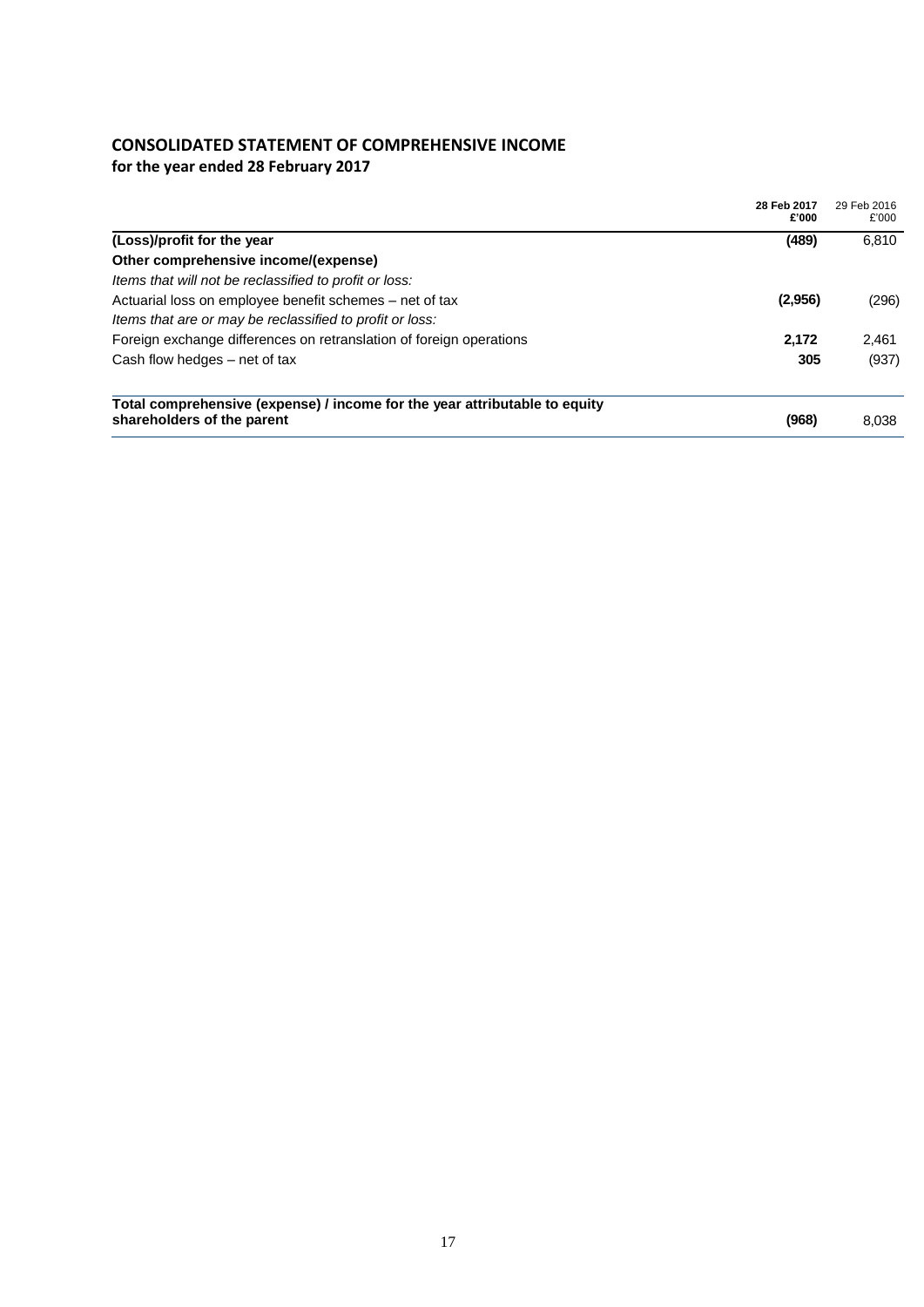# **CONSOLIDATED STATEMENT OF COMPREHENSIVE INCOME**

**for the year ended 28 February 2017**

|                                                                                                          | 28 Feb 2017<br>£'000 | 29 Feb 2016<br>£'000 |
|----------------------------------------------------------------------------------------------------------|----------------------|----------------------|
| (Loss)/profit for the year                                                                               | (489)                | 6,810                |
| Other comprehensive income/(expense)                                                                     |                      |                      |
| Items that will not be reclassified to profit or loss:                                                   |                      |                      |
| Actuarial loss on employee benefit schemes – net of tax                                                  | (2,956)              | (296)                |
| Items that are or may be reclassified to profit or loss:                                                 |                      |                      |
| Foreign exchange differences on retranslation of foreign operations                                      | 2,172                | 2,461                |
| Cash flow hedges – net of tax                                                                            | 305                  | (937)                |
| Total comprehensive (expense) / income for the year attributable to equity<br>shareholders of the parent | (968)                | 8,038                |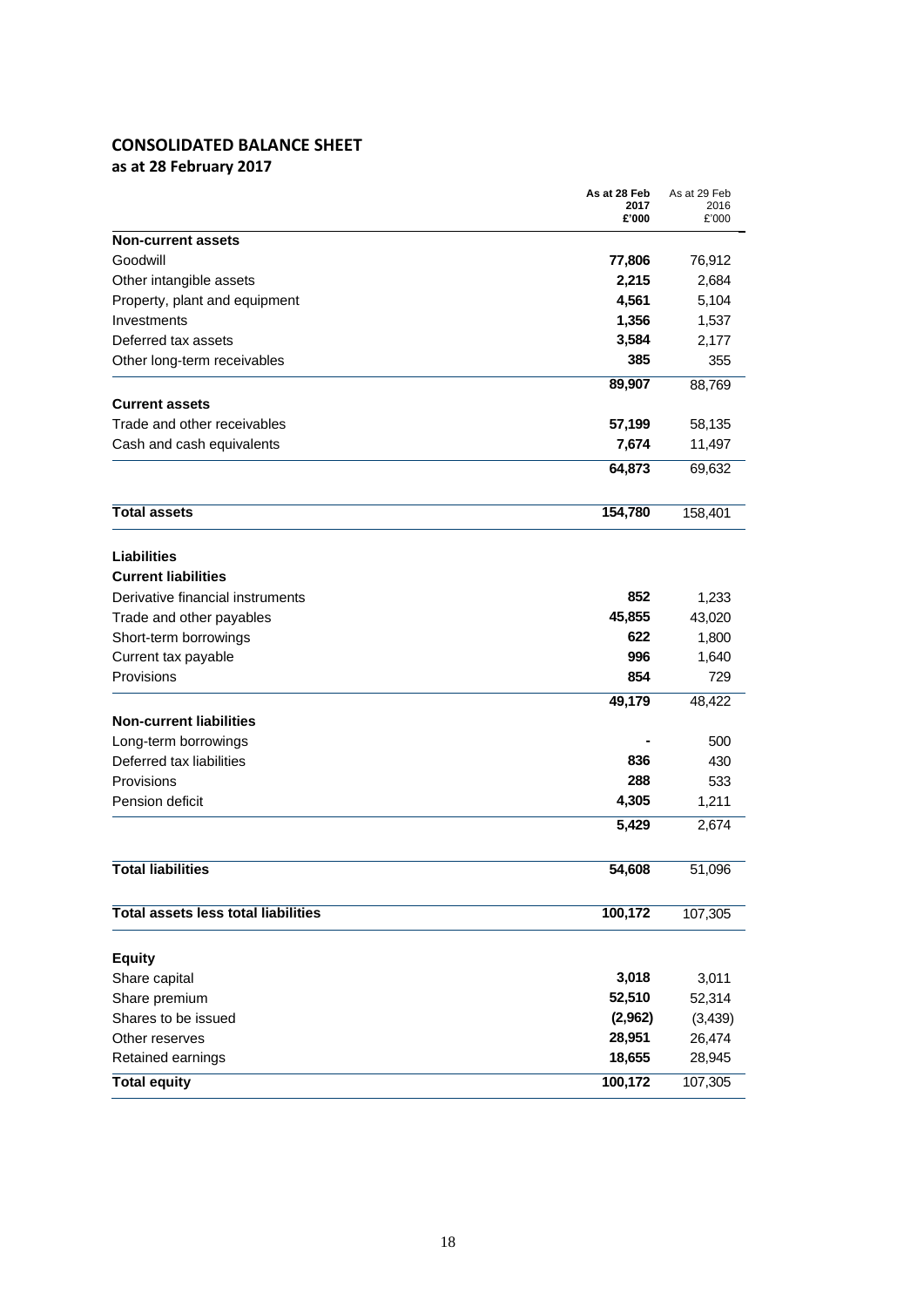# **CONSOLIDATED BALANCE SHEET**

**as at 28 February 2017**

|                                            | As at 28 Feb<br>2017 | As at 29 Feb<br>2016 |
|--------------------------------------------|----------------------|----------------------|
|                                            | £'000                | £'000                |
| <b>Non-current assets</b>                  |                      |                      |
| Goodwill                                   | 77,806               | 76,912               |
| Other intangible assets                    | 2,215                | 2,684                |
| Property, plant and equipment              | 4,561                | 5,104                |
| Investments                                | 1,356                | 1,537                |
| Deferred tax assets                        | 3,584                | 2,177                |
| Other long-term receivables                | 385                  | 355                  |
|                                            | 89,907               | 88,769               |
| <b>Current assets</b>                      |                      |                      |
| Trade and other receivables                | 57,199               | 58,135               |
| Cash and cash equivalents                  | 7,674                | 11,497               |
|                                            | 64,873               | 69,632               |
|                                            |                      |                      |
| <b>Total assets</b>                        | 154,780              | 158,401              |
| <b>Liabilities</b>                         |                      |                      |
| <b>Current liabilities</b>                 |                      |                      |
| Derivative financial instruments           | 852                  | 1,233                |
| Trade and other payables                   | 45,855               | 43,020               |
| Short-term borrowings                      | 622                  | 1,800                |
| Current tax payable                        | 996                  | 1,640                |
| Provisions                                 | 854                  | 729                  |
|                                            | 49,179               | 48,422               |
| <b>Non-current liabilities</b>             |                      |                      |
| Long-term borrowings                       |                      | 500                  |
| Deferred tax liabilities                   | 836                  | 430                  |
| Provisions                                 | 288                  | 533                  |
| Pension deficit                            | 4,305                | 1,211                |
|                                            | 5,429                | 2,674                |
| <b>Total liabilities</b>                   | 54,608               | 51,096               |
|                                            |                      |                      |
| <b>Total assets less total liabilities</b> | 100,172              | 107,305              |
| <b>Equity</b>                              |                      |                      |
| Share capital                              | 3,018                | 3,011                |
| Share premium                              | 52,510               | 52,314               |
| Shares to be issued                        | (2,962)              | (3, 439)             |
| Other reserves                             | 28,951               | 26,474               |
| Retained earnings                          | 18,655               | 28,945               |
| <b>Total equity</b>                        | 100,172              | 107,305              |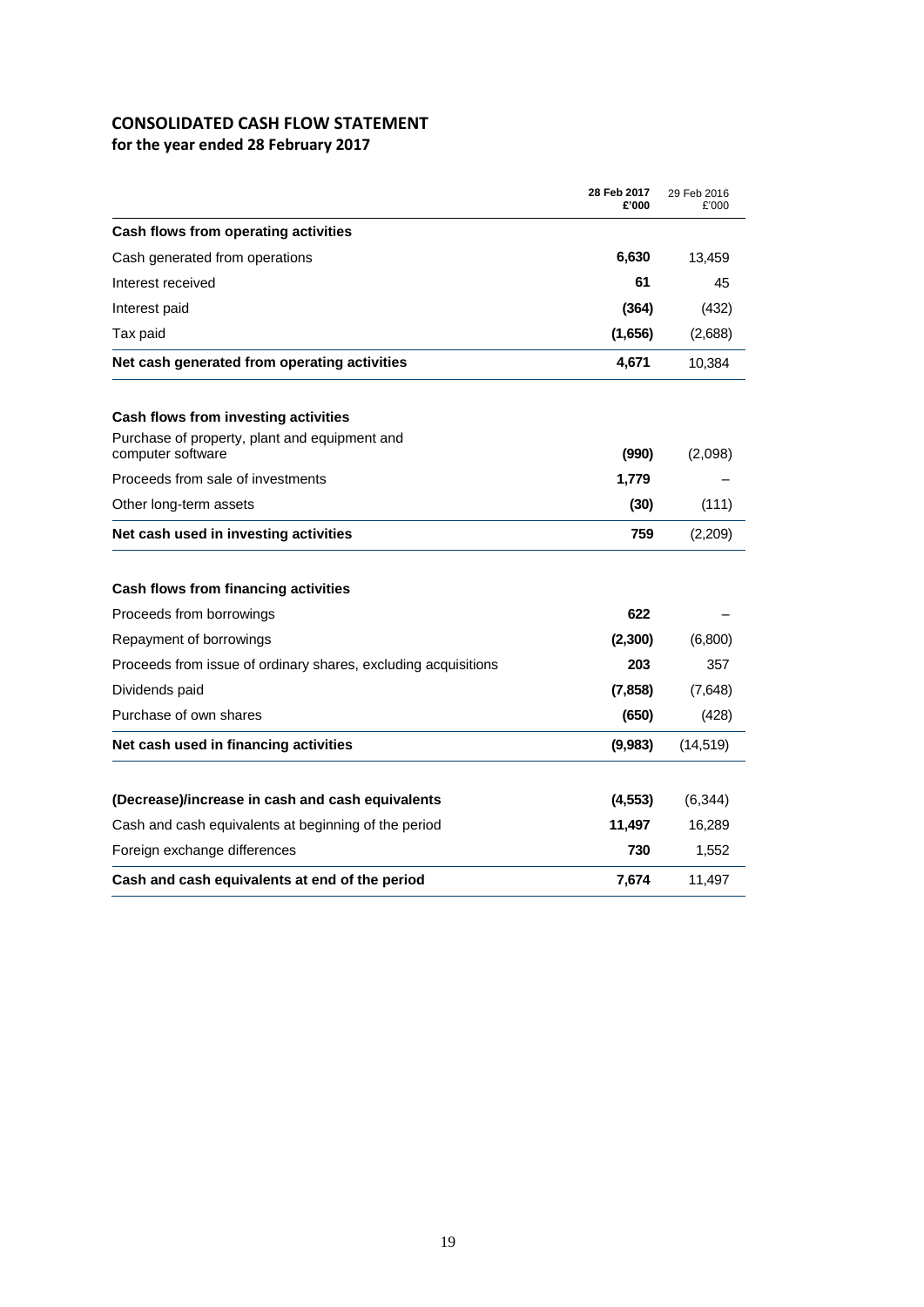# **CONSOLIDATED CASH FLOW STATEMENT**

**for the year ended 28 February 2017**

|                                                                | 28 Feb 2017<br>£'000 | 29 Feb 2016<br>£'000 |
|----------------------------------------------------------------|----------------------|----------------------|
| Cash flows from operating activities                           |                      |                      |
| Cash generated from operations                                 | 6,630                | 13,459               |
| Interest received                                              | 61                   | 45                   |
| Interest paid                                                  | (364)                | (432)                |
| Tax paid                                                       | (1,656)              | (2,688)              |
| Net cash generated from operating activities                   | 4,671                | 10,384               |
| Cash flows from investing activities                           |                      |                      |
| Purchase of property, plant and equipment and                  | (990)                |                      |
| computer software<br>Proceeds from sale of investments         | 1,779                | (2,098)              |
| Other long-term assets                                         | (30)                 | (111)                |
| Net cash used in investing activities                          | 759                  | (2,209)              |
|                                                                |                      |                      |
| Cash flows from financing activities                           |                      |                      |
| Proceeds from borrowings                                       | 622                  |                      |
| Repayment of borrowings                                        | (2,300)              | (6,800)              |
| Proceeds from issue of ordinary shares, excluding acquisitions | 203                  | 357                  |
| Dividends paid                                                 | (7, 858)             | (7,648)              |
| Purchase of own shares                                         | (650)                | (428)                |
| Net cash used in financing activities                          | (9,983)              | (14, 519)            |
| (Decrease)/increase in cash and cash equivalents               | (4, 553)             | (6, 344)             |
| Cash and cash equivalents at beginning of the period           | 11,497               | 16,289               |
| Foreign exchange differences                                   | 730                  | 1,552                |
| Cash and cash equivalents at end of the period                 | 7,674                | 11,497               |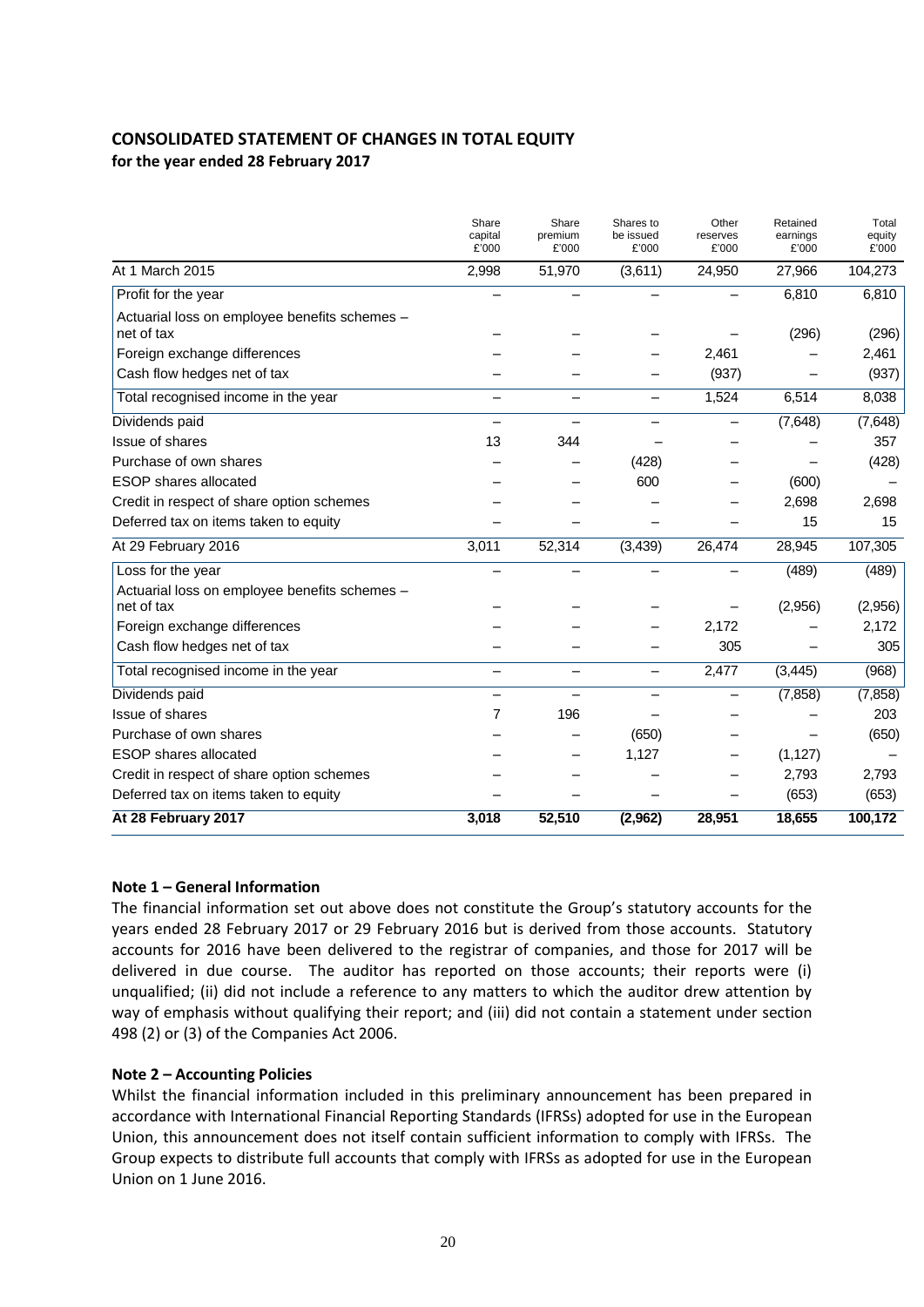# **CONSOLIDATED STATEMENT OF CHANGES IN TOTAL EQUITY for the year ended 28 February 2017**

|                                                             | Share<br>capital<br>£'000 | Share<br>premium<br>£'000 | Shares to<br>be issued<br>£'000 | Other<br>reserves<br>£'000 | Retained<br>earnings<br>£'000 | Total<br>equity<br>£'000 |
|-------------------------------------------------------------|---------------------------|---------------------------|---------------------------------|----------------------------|-------------------------------|--------------------------|
| At 1 March 2015                                             | 2,998                     | 51,970                    | (3,611)                         | 24,950                     | 27,966                        | 104,273                  |
| Profit for the year                                         |                           |                           |                                 |                            | 6,810                         | 6,810                    |
| Actuarial loss on employee benefits schemes -<br>net of tax |                           |                           |                                 |                            | (296)                         | (296)                    |
| Foreign exchange differences                                |                           |                           |                                 | 2,461                      |                               | 2,461                    |
| Cash flow hedges net of tax                                 |                           |                           |                                 | (937)                      |                               | (937)                    |
| Total recognised income in the year                         | —                         | -                         | $\overline{\phantom{0}}$        | 1,524                      | 6,514                         | 8,038                    |
| Dividends paid                                              |                           |                           |                                 |                            | (7,648)                       | (7,648)                  |
| Issue of shares                                             | 13                        | 344                       |                                 |                            |                               | 357                      |
| Purchase of own shares                                      |                           |                           | (428)                           |                            |                               | (428)                    |
| <b>ESOP</b> shares allocated                                |                           |                           | 600                             |                            | (600)                         |                          |
| Credit in respect of share option schemes                   |                           |                           |                                 |                            | 2,698                         | 2,698                    |
| Deferred tax on items taken to equity                       |                           |                           |                                 |                            | 15                            | 15                       |
| At 29 February 2016                                         | 3,011                     | 52,314                    | (3, 439)                        | 26,474                     | 28,945                        | 107,305                  |
| Loss for the year                                           |                           |                           |                                 |                            | (489)                         | (489)                    |
| Actuarial loss on employee benefits schemes -<br>net of tax |                           |                           |                                 |                            | (2,956)                       | (2,956)                  |
| Foreign exchange differences                                |                           |                           |                                 | 2,172                      |                               | 2,172                    |
| Cash flow hedges net of tax                                 |                           |                           |                                 | 305                        |                               | 305                      |
| Total recognised income in the year                         |                           |                           | $\overline{\phantom{0}}$        | 2,477                      | (3, 445)                      | (968)                    |
| Dividends paid                                              |                           |                           |                                 |                            | (7, 858)                      | (7, 858)                 |
| Issue of shares                                             | 7                         | 196                       |                                 |                            |                               | 203                      |
| Purchase of own shares                                      |                           |                           | (650)                           |                            |                               | (650)                    |
| <b>ESOP</b> shares allocated                                |                           |                           | 1,127                           |                            | (1, 127)                      |                          |
| Credit in respect of share option schemes                   |                           |                           |                                 |                            | 2,793                         | 2,793                    |
| Deferred tax on items taken to equity                       |                           |                           |                                 |                            | (653)                         | (653)                    |
| At 28 February 2017                                         | 3,018                     | 52,510                    | (2,962)                         | 28,951                     | 18,655                        | 100,172                  |

### **Note 1 – General Information**

The financial information set out above does not constitute the Group's statutory accounts for the years ended 28 February 2017 or 29 February 2016 but is derived from those accounts. Statutory accounts for 2016 have been delivered to the registrar of companies, and those for 2017 will be delivered in due course. The auditor has reported on those accounts; their reports were (i) unqualified; (ii) did not include a reference to any matters to which the auditor drew attention by way of emphasis without qualifying their report; and (iii) did not contain a statement under section 498 (2) or (3) of the Companies Act 2006.

### **Note 2 – Accounting Policies**

Whilst the financial information included in this preliminary announcement has been prepared in accordance with International Financial Reporting Standards (IFRSs) adopted for use in the European Union, this announcement does not itself contain sufficient information to comply with IFRSs. The Group expects to distribute full accounts that comply with IFRSs as adopted for use in the European Union on 1 June 2016.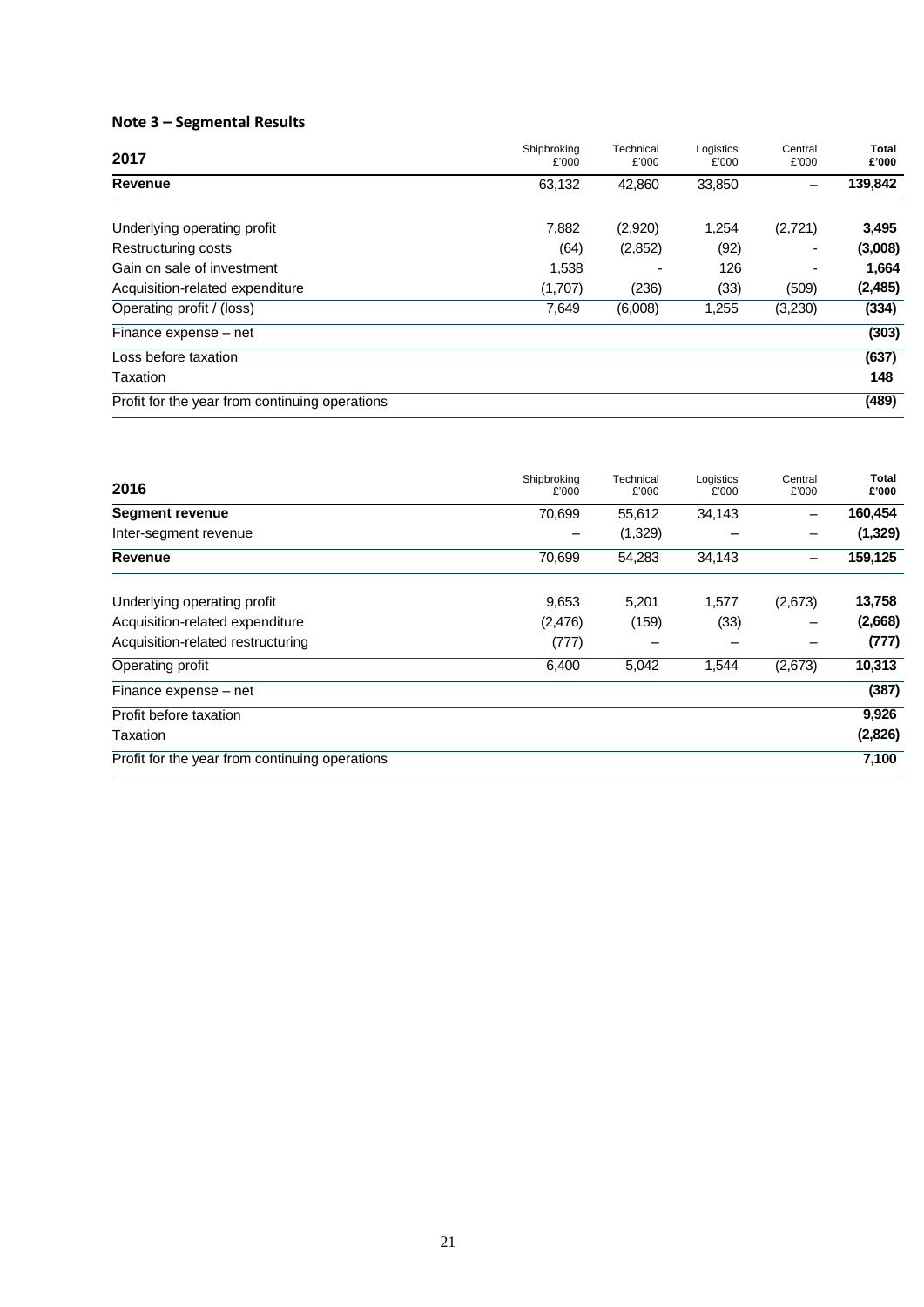# **Note 3 – Segmental Results**

| 2017                                           | Shipbroking<br>£'000 | Technical<br>£'000 | Logistics<br>£'000 | Central<br>£'000         | <b>Total</b><br>£'000 |
|------------------------------------------------|----------------------|--------------------|--------------------|--------------------------|-----------------------|
| Revenue                                        | 63,132               | 42,860             | 33,850             | $\overline{\phantom{0}}$ | 139,842               |
| Underlying operating profit                    | 7,882                | (2,920)            | 1,254              | (2,721)                  | 3,495                 |
| Restructuring costs                            | (64)                 | (2,852)            | (92)               | $\overline{\phantom{0}}$ | (3,008)               |
| Gain on sale of investment                     | 1,538                |                    | 126                | $\overline{\phantom{0}}$ | 1,664                 |
| Acquisition-related expenditure                | (1,707)              | (236)              | (33)               | (509)                    | (2, 485)              |
| Operating profit / (loss)                      | 7,649                | (6,008)            | 1,255              | (3,230)                  | (334)                 |
| Finance expense – net                          |                      |                    |                    |                          | (303)                 |
| Loss before taxation                           |                      |                    |                    |                          | (637)                 |
| Taxation                                       |                      |                    |                    |                          | 148                   |
| Profit for the year from continuing operations |                      |                    |                    |                          | (489)                 |

| 2016                                           | Shipbroking<br>£'000 | Technical<br>£'000 | Logistics<br>£'000 | Central<br>£'000 | Total<br>£'000 |
|------------------------------------------------|----------------------|--------------------|--------------------|------------------|----------------|
| <b>Segment revenue</b>                         | 70,699               | 55,612             | 34,143             |                  | 160,454        |
| Inter-segment revenue                          |                      | (1,329)            |                    |                  | (1, 329)       |
| <b>Revenue</b>                                 | 70,699               | 54,283             | 34,143             |                  | 159,125        |
| Underlying operating profit                    | 9,653                | 5,201              | 1,577              | (2,673)          | 13,758         |
| Acquisition-related expenditure                | (2,476)              | (159)              | (33)               |                  | (2,668)        |
| Acquisition-related restructuring              | (777)                |                    |                    |                  | (777)          |
| Operating profit                               | 6,400                | 5,042              | 1,544              | (2,673)          | 10,313         |
| Finance expense – net                          |                      |                    |                    |                  | (387)          |
| Profit before taxation                         |                      |                    |                    |                  | 9,926          |
| Taxation                                       |                      |                    |                    |                  | (2,826)        |
| Profit for the year from continuing operations |                      |                    |                    |                  | 7,100          |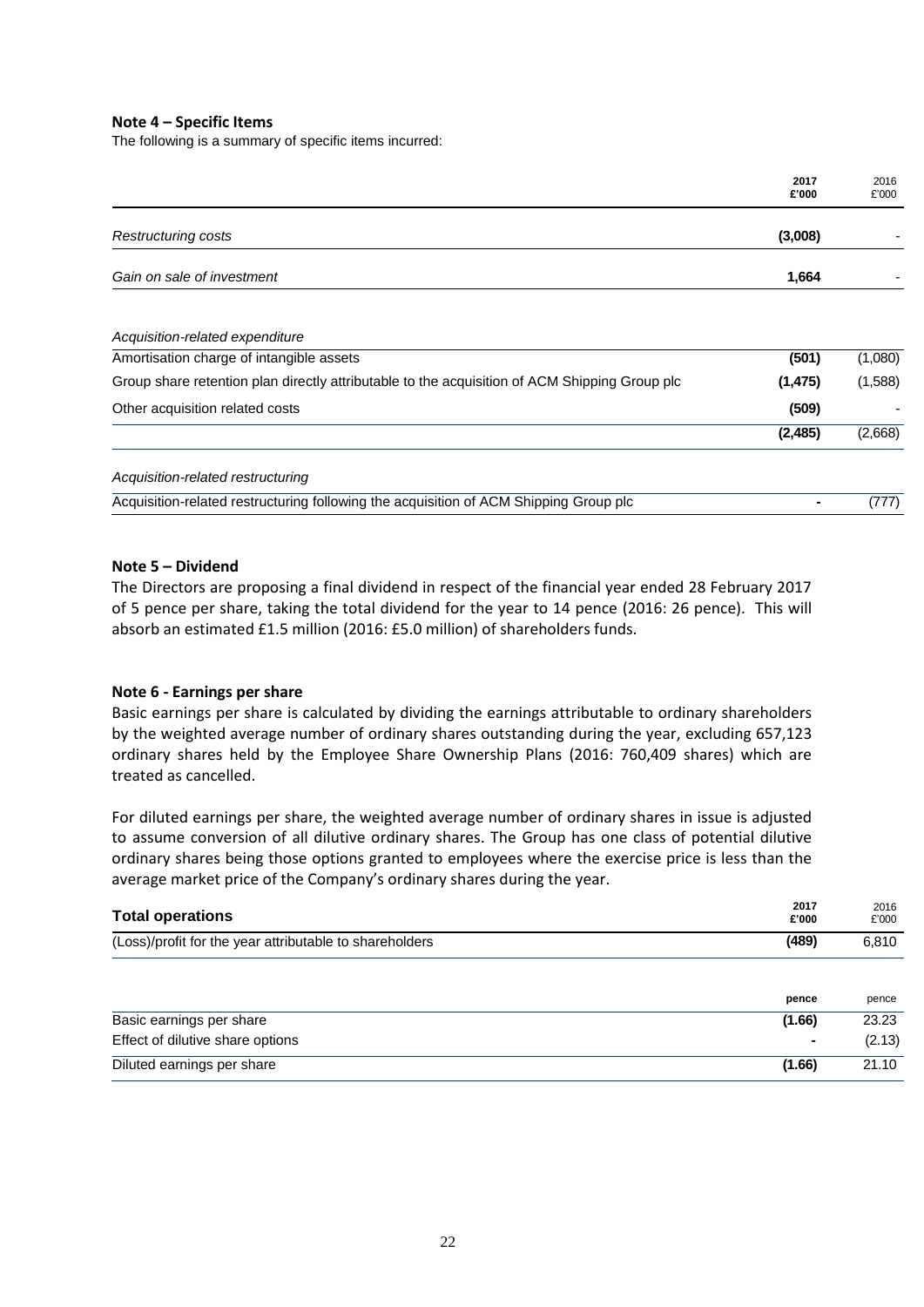#### **Note 4 – Specific Items**

The following is a summary of specific items incurred:

|                                                                                               | 2017<br>£'000 | 2016<br>£'000 |
|-----------------------------------------------------------------------------------------------|---------------|---------------|
| Restructuring costs                                                                           | (3,008)       |               |
| Gain on sale of investment                                                                    | 1,664         |               |
| Acquisition-related expenditure                                                               |               |               |
| Amortisation charge of intangible assets                                                      | (501)         | (1,080)       |
| Group share retention plan directly attributable to the acquisition of ACM Shipping Group plc | (1, 475)      | (1,588)       |
| Other acquisition related costs                                                               | (509)         |               |
|                                                                                               | (2, 485)      | (2,668)       |
| Acquisition-related restructuring                                                             |               |               |
| Acquisition-related restructuring following the acquisition of ACM Shipping Group plc         |               | (777)         |

#### **Note 5 – Dividend**

The Directors are proposing a final dividend in respect of the financial year ended 28 February 2017 of 5 pence per share, taking the total dividend for the year to 14 pence (2016: 26 pence). This will absorb an estimated £1.5 million (2016: £5.0 million) of shareholders funds.

#### **Note 6 - Earnings per share**

Basic earnings per share is calculated by dividing the earnings attributable to ordinary shareholders by the weighted average number of ordinary shares outstanding during the year, excluding 657,123 ordinary shares held by the Employee Share Ownership Plans (2016: 760,409 shares) which are treated as cancelled.

For diluted earnings per share, the weighted average number of ordinary shares in issue is adjusted to assume conversion of all dilutive ordinary shares. The Group has one class of potential dilutive ordinary shares being those options granted to employees where the exercise price is less than the average market price of the Company's ordinary shares during the year.

| <b>Total operations</b>                                 | 2017<br>£'000  | 2016<br>£'000 |
|---------------------------------------------------------|----------------|---------------|
| (Loss)/profit for the year attributable to shareholders | (489)          | 6,810         |
|                                                         |                |               |
|                                                         | pence          | pence         |
| Basic earnings per share                                | (1.66)         | 23.23         |
| Effect of dilutive share options                        | $\blacksquare$ | (2.13)        |
| Diluted earnings per share                              | (1.66)         | 21.10         |